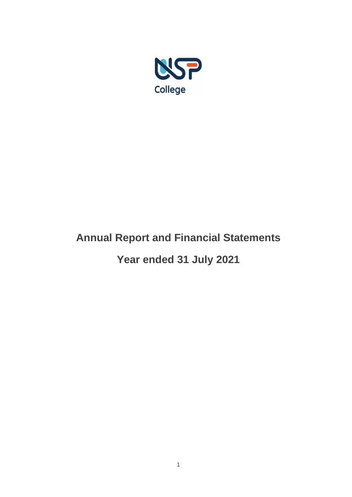

# **Annual Report and Financial Statements**

**Year ended 31 July 2021**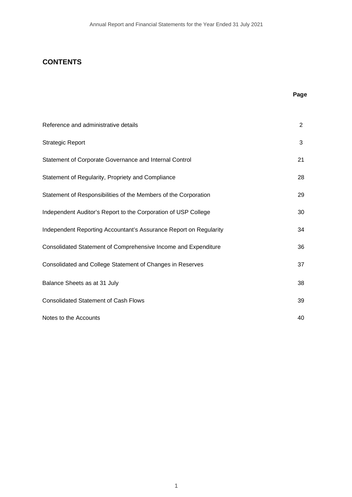# **CONTENTS**

# **Page**

| Reference and administrative details                              | $\overline{2}$ |
|-------------------------------------------------------------------|----------------|
| <b>Strategic Report</b>                                           | 3              |
| Statement of Corporate Governance and Internal Control            | 21             |
| Statement of Regularity, Propriety and Compliance                 | 28             |
| Statement of Responsibilities of the Members of the Corporation   | 29             |
| Independent Auditor's Report to the Corporation of USP College    | 30             |
| Independent Reporting Accountant's Assurance Report on Regularity | 34             |
| Consolidated Statement of Comprehensive Income and Expenditure    | 36             |
| Consolidated and College Statement of Changes in Reserves         | 37             |
| Balance Sheets as at 31 July                                      | 38             |
| <b>Consolidated Statement of Cash Flows</b>                       | 39             |
| Notes to the Accounts                                             | 40             |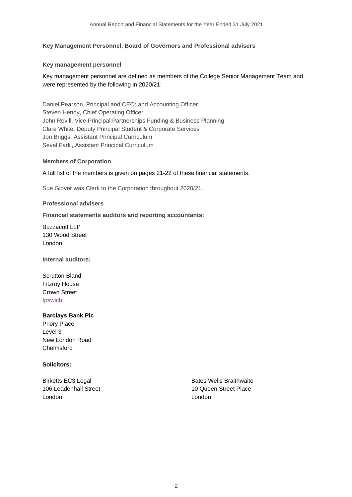### **Key Management Personnel, Board of Governors and Professional advisers**

#### **Key management personnel**

## Key management personnel are defined as members of the College Senior Management Team and were represented by the following in 2020/21:

Daniel Pearson, Principal and CEO; and Accounting Officer Steven Hendy, Chief Operating Officer John Revill, Vice Principal Partnerships Funding & Business Planning Clare White, Deputy Principal Student & Corporate Services Jon Briggs, Assistant Principal Curriculum Seval Fadil, Assistant Principal Curriculum

#### **Members of Corporation**

#### A full list of the members is given on pages 21-22 of these financial statements.

Sue Glover was Clerk to the Corporation throughout 2020/21.

#### **Professional advisers**

#### **Financial statements auditors and reporting accountants:**

Buzzacott LLP 130 Wood Street London

**Internal auditors:**

Scrutton Bland Fitzroy House Crown Street Ipswich

#### **Barclays Bank Plc**

Priory Place Level 3 New London Road Chelmsford

#### **Solicitors:**

London London

Birketts EC3 Legal Birketts EC3 Legal Bates Wells Braithwaite 106 Leadenhall Street 106 Leadenhall Street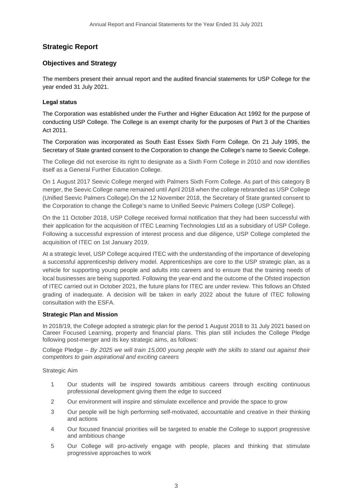# **Strategic Report**

# **Objectives and Strategy**

The members present their annual report and the audited financial statements for USP College for the year ended 31 July 2021.

### **Legal status**

The Corporation was established under the Further and Higher Education Act 1992 for the purpose of conducting USP College. The College is an exempt charity for the purposes of Part 3 of the Charities Act 2011.

The Corporation was incorporated as South East Essex Sixth Form College. On 21 July 1995, the Secretary of State granted consent to the Corporation to change the College's name to Seevic College.

The College did not exercise its right to designate as a Sixth Form College in 2010 and now identifies itself as a General Further Education College.

On 1 August 2017 Seevic College merged with Palmers Sixth Form College. As part of this category B merger, the Seevic College name remained until April 2018 when the college rebranded as USP College (Unified Seevic Palmers College).On the 12 November 2018, the Secretary of State granted consent to the Corporation to change the College's name to Unified Seevic Palmers College (USP College).

On the 11 October 2018, USP College received formal notification that they had been successful with their application for the acquisition of ITEC Learning Technologies Ltd as a subsidiary of USP College. Following a successful expression of interest process and due diligence, USP College completed the acquisition of ITEC on 1st January 2019.

At a strategic level, USP College acquired ITEC with the understanding of the importance of developing a successful apprenticeship delivery model. Apprenticeships are core to the USP strategic plan, as a vehicle for supporting young people and adults into careers and to ensure that the training needs of local businesses are being supported. Following the year-end and the outcome of the Ofsted inspection of ITEC carried out in October 2021, the future plans for ITEC are under review. This follows an Ofsted grading of inadequate. A decision will be taken in early 2022 about the future of ITEC following consultation with the ESFA.

#### **Strategic Plan and Mission**

In 2018/19, the College adopted a strategic plan for the period 1 August 2018 to 31 July 2021 based on Career Focused Learning, property and financial plans. This plan still includes the College Pledge following post-merger and its key strategic aims, as follows:

College Pledge – *By 2025 we will train 15,000 young people with the skills to stand out against their competitors to gain aspirational and exciting careers*

Strategic Aim

- 1 Our students will be inspired towards ambitious careers through exciting continuous professional development giving them the edge to succeed
- 2 Our environment will inspire and stimulate excellence and provide the space to grow
- 3 Our people will be high performing self-motivated, accountable and creative in their thinking and actions
- 4 Our focused financial priorities will be targeted to enable the College to support progressive and ambitious change
- 5 Our College will pro-actively engage with people, places and thinking that stimulate progressive approaches to work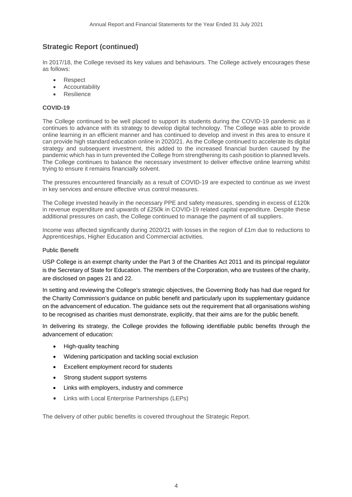In 2017/18, the College revised its key values and behaviours. The College actively encourages these as follows:

- Respect
- Accountability
- Resilience

### **COVID-19**

The College continued to be well placed to support its students during the COVID-19 pandemic as it continues to advance with its strategy to develop digital technology. The College was able to provide online learning in an efficient manner and has continued to develop and invest in this area to ensure it can provide high standard education online in 2020/21. As the College continued to accelerate its digital strategy and subsequent investment, this added to the increased financial burden caused by the pandemic which has in turn prevented the College from strengthening its cash position to planned levels. The College continues to balance the necessary investment to deliver effective online learning whilst trying to ensure it remains financially solvent.

The pressures encountered financially as a result of COVID-19 are expected to continue as we invest in key services and ensure effective virus control measures.

The College invested heavily in the necessary PPE and safety measures, spending in excess of £120k in revenue expenditure and upwards of £250k in COVID-19 related capital expenditure. Despite these additional pressures on cash, the College continued to manage the payment of all suppliers.

Income was affected significantly during 2020/21 with losses in the region of £1m due to reductions to Apprenticeships, Higher Education and Commercial activities.

#### Public Benefit

USP College is an exempt charity under the Part 3 of the Charities Act 2011 and its principal regulator is the Secretary of State for Education. The members of the Corporation, who are trustees of the charity, are disclosed on pages 21 and 22.

In setting and reviewing the College's strategic objectives, the Governing Body has had due regard for the Charity Commission's guidance on public benefit and particularly upon its supplementary guidance on the advancement of education. The guidance sets out the requirement that all organisations wishing to be recognised as charities must demonstrate, explicitly, that their aims are for the public benefit.

In delivering its strategy, the College provides the following identifiable public benefits through the advancement of education:

- High-quality teaching
- Widening participation and tackling social exclusion
- Excellent employment record for students
- Strong student support systems
- Links with employers, industry and commerce
- Links with Local Enterprise Partnerships (LEPs)

The delivery of other public benefits is covered throughout the Strategic Report.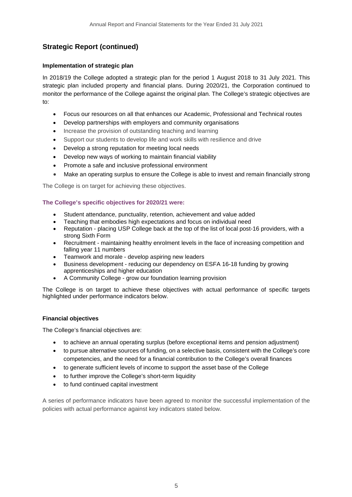# **Implementation of strategic plan**

In 2018/19 the College adopted a strategic plan for the period 1 August 2018 to 31 July 2021. This strategic plan included property and financial plans. During 2020/21, the Corporation continued to monitor the performance of the College against the original plan. The College's strategic objectives are to:

- Focus our resources on all that enhances our Academic, Professional and Technical routes
- Develop partnerships with employers and community organisations
- Increase the provision of outstanding teaching and learning
- Support our students to develop life and work skills with resilience and drive
- Develop a strong reputation for meeting local needs
- Develop new ways of working to maintain financial viability
- Promote a safe and inclusive professional environment
- Make an operating surplus to ensure the College is able to invest and remain financially strong

The College is on target for achieving these objectives.

### **The College's specific objectives for 2020/21 were:**

- Student attendance, punctuality, retention, achievement and value added
- Teaching that embodies high expectations and focus on individual need
- Reputation placing USP College back at the top of the list of local post-16 providers, with a strong Sixth Form
- Recruitment maintaining healthy enrolment levels in the face of increasing competition and falling year 11 numbers
- Teamwork and morale develop aspiring new leaders
- Business development reducing our dependency on ESFA 16-18 funding by growing apprenticeships and higher education
- A Community College grow our foundation learning provision

The College is on target to achieve these objectives with actual performance of specific targets highlighted under performance indicators below.

#### **Financial objectives**

The College's financial objectives are:

- to achieve an annual operating surplus (before exceptional items and pension adjustment)
- to pursue alternative sources of funding, on a selective basis, consistent with the College's core competencies, and the need for a financial contribution to the College's overall finances
- to generate sufficient levels of income to support the asset base of the College
- to further improve the College's short-term liquidity
- to fund continued capital investment

A series of performance indicators have been agreed to monitor the successful implementation of the policies with actual performance against key indicators stated below.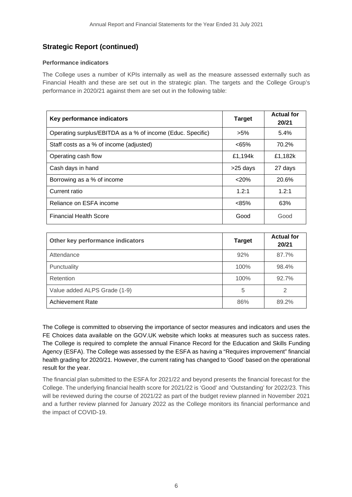### **Performance indicators**

The College uses a number of KPIs internally as well as the measure assessed externally such as Financial Health and these are set out in the strategic plan. The targets and the College Group's performance in 2020/21 against them are set out in the following table:

| Key performance indicators                                 | <b>Target</b> | <b>Actual for</b><br>20/21 |
|------------------------------------------------------------|---------------|----------------------------|
| Operating surplus/EBITDA as a % of income (Educ. Specific) | $>5\%$        | 5.4%                       |
| Staff costs as a % of income (adjusted)                    | <65%          | 70.2%                      |
| Operating cash flow                                        | £1,194k       | £1,182k                    |
| Cash days in hand                                          | >25 days      | 27 days                    |
| Borrowing as a % of income                                 | < 20%         | 20.6%                      |
| Current ratio                                              | 1.2:1         | 1.2:1                      |
| Reliance on ESFA income                                    | $< 85\%$      | 63%                        |
| <b>Financial Health Score</b>                              | Good          | Good                       |

| Other key performance indicators | <b>Target</b> | <b>Actual for</b><br>20/21 |
|----------------------------------|---------------|----------------------------|
| Attendance                       | 92%           | 87.7%                      |
| Punctuality                      | 100%          | 98.4%                      |
| Retention                        | 100%          | 92.7%                      |
| Value added ALPS Grade (1-9)     | 5             | 2                          |
| Achievement Rate                 | 86%           | 89.2%                      |

The College is committed to observing the importance of sector measures and indicators and uses the FE Choices data available on the GOV.UK website which looks at measures such as success rates. The College is required to complete the annual Finance Record for the Education and Skills Funding Agency (ESFA). The College was assessed by the ESFA as having a "Requires improvement" financial health grading for 2020/21. However, the current rating has changed to 'Good' based on the operational result for the year.

The financial plan submitted to the ESFA for 2021/22 and beyond presents the financial forecast for the College. The underlying financial health score for 2021/22 is 'Good' and 'Outstanding' for 2022/23. This will be reviewed during the course of 2021/22 as part of the budget review planned in November 2021 and a further review planned for January 2022 as the College monitors its financial performance and the impact of COVID-19.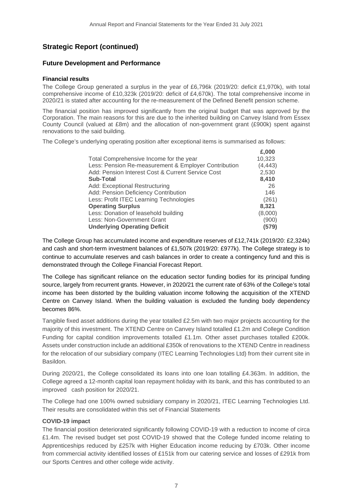# **Future Development and Performance**

#### **Financial results**

The College Group generated a surplus in the year of £6,796k (2019/20: deficit £1,970k), with total comprehensive income of £10,323k (2019/20: deficit of £4,670k). The total comprehensive income in 2020/21 is stated after accounting for the re-measurement of the Defined Benefit pension scheme.

The financial position has improved significantly from the original budget that was approved by the Corporation. The main reasons for this are due to the inherited building on Canvey Island from Essex County Council (valued at £8m) and the allocation of non-government grant (£900k) spent against renovations to the said building.

The College's underlying operating position after exceptional items is summarised as follows:

| £,000    |
|----------|
| 10,323   |
| (4, 443) |
| 2,530    |
| 8,410    |
| 26       |
| 146      |
| (261)    |
| 8,321    |
| (8,000)  |
| (900)    |
| (579)    |
|          |

The College Group has accumulated income and expenditure reserves of £12,741k (2019/20: £2,324k) and cash and short-term investment balances of £1,507k (2019/20: £977k). The College strategy is to continue to accumulate reserves and cash balances in order to create a contingency fund and this is demonstrated through the College Financial Forecast Report.

The College has significant reliance on the education sector funding bodies for its principal funding source, largely from recurrent grants. However, in 2020/21 the current rate of 63% of the College's total income has been distorted by the building valuation income following the acquisition of the XTEND Centre on Canvey Island. When the building valuation is excluded the funding body dependency becomes 86%.

Tangible fixed asset additions during the year totalled £2.5m with two major projects accounting for the majority of this investment. The XTEND Centre on Canvey Island totalled £1.2m and College Condition Funding for capital condition improvements totalled £1.1m. Other asset purchases totalled £200k. Assets under construction include an additional £350k of renovations to the XTEND Centre in readiness for the relocation of our subsidiary company (ITEC Learning Technologies Ltd) from their current site in Basildon.

During 2020/21, the College consolidated its loans into one loan totalling £4.363m. In addition, the College agreed a 12-month capital loan repayment holiday with its bank, and this has contributed to an improved cash position for 2020/21.

The College had one 100% owned subsidiary company in 2020/21, ITEC Learning Technologies Ltd. Their results are consolidated within this set of Financial Statements

# **COVID-19 impact**

The financial position deteriorated significantly following COVID-19 with a reduction to income of circa £1.4m. The revised budget set post COVID-19 showed that the College funded income relating to Apprenticeships reduced by £257k with Higher Education income reducing by £703k. Other income from commercial activity identified losses of £151k from our catering service and losses of £291k from our Sports Centres and other college wide activity.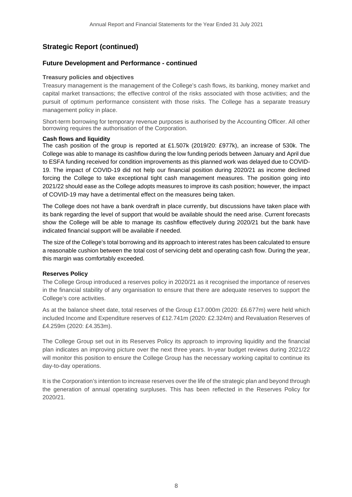### **Future Development and Performance - continued**

#### **Treasury policies and objectives**

Treasury management is the management of the College's cash flows, its banking, money market and capital market transactions; the effective control of the risks associated with those activities; and the pursuit of optimum performance consistent with those risks. The College has a separate treasury management policy in place.

Short-term borrowing for temporary revenue purposes is authorised by the Accounting Officer. All other borrowing requires the authorisation of the Corporation.

#### **Cash flows and liquidity**

The cash position of the group is reported at £1.507k (2019/20: £977k), an increase of 530k. The College was able to manage its cashflow during the low funding periods between January and April due to ESFA funding received for condition improvements as this planned work was delayed due to COVID-19. The impact of COVID-19 did not help our financial position during 2020/21 as income declined forcing the College to take exceptional tight cash management measures. The position going into 2021/22 should ease as the College adopts measures to improve its cash position; however, the impact of COVID-19 may have a detrimental effect on the measures being taken.

The College does not have a bank overdraft in place currently, but discussions have taken place with its bank regarding the level of support that would be available should the need arise. Current forecasts show the College will be able to manage its cashflow effectively during 2020/21 but the bank have indicated financial support will be available if needed.

The size of the College's total borrowing and its approach to interest rates has been calculated to ensure a reasonable cushion between the total cost of servicing debt and operating cash flow. During the year, this margin was comfortably exceeded.

#### **Reserves Policy**

The College Group introduced a reserves policy in 2020/21 as it recognised the importance of reserves in the financial stability of any organisation to ensure that there are adequate reserves to support the College's core activities.

As at the balance sheet date, total reserves of the Group £17.000m (2020: £6.677m) were held which included Income and Expenditure reserves of £12.741m (2020: £2.324m) and Revaluation Reserves of £4.259m (2020: £4.353m).

The College Group set out in its Reserves Policy its approach to improving liquidity and the financial plan indicates an improving picture over the next three years. In-year budget reviews during 2021/22 will monitor this position to ensure the College Group has the necessary working capital to continue its day-to-day operations.

It is the Corporation's intention to increase reserves over the life of the strategic plan and beyond through the generation of annual operating surpluses. This has been reflected in the Reserves Policy for 2020/21.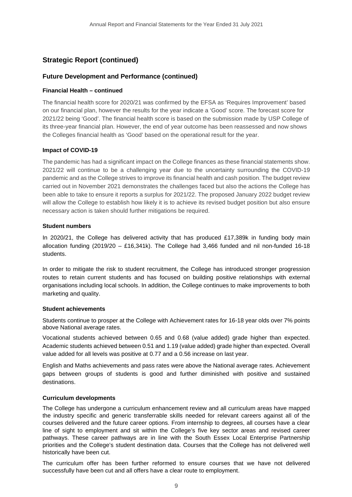# **Future Development and Performance (continued)**

#### **Financial Health – continued**

The financial health score for 2020/21 was confirmed by the EFSA as 'Requires Improvement' based on our financial plan, however the results for the year indicate a 'Good' score. The forecast score for 2021/22 being 'Good'. The financial health score is based on the submission made by USP College of its three-year financial plan. However, the end of year outcome has been reassessed and now shows the Colleges financial health as 'Good' based on the operational result for the year.

### **Impact of COVID-19**

The pandemic has had a significant impact on the College finances as these financial statements show. 2021/22 will continue to be a challenging year due to the uncertainty surrounding the COVID-19 pandemic and as the College strives to improve its financial health and cash position. The budget review carried out in November 2021 demonstrates the challenges faced but also the actions the College has been able to take to ensure it reports a surplus for 2021/22. The proposed January 2022 budget review will allow the College to establish how likely it is to achieve its revised budget position but also ensure necessary action is taken should further mitigations be required.

#### **Student numbers**

In 2020/21, the College has delivered activity that has produced £17,389k in funding body main allocation funding  $(2019/20 - £16,341k)$ . The College had 3,466 funded and nil non-funded 16-18 students.

In order to mitigate the risk to student recruitment, the College has introduced stronger progression routes to retain current students and has focused on building positive relationships with external organisations including local schools. In addition, the College continues to make improvements to both marketing and quality.

#### **Student achievements**

Students continue to prosper at the College with Achievement rates for 16-18 year olds over 7% points above National average rates.

Vocational students achieved between 0.65 and 0.68 (value added) grade higher than expected. Academic students achieved between 0.51 and 1.19 (value added) grade higher than expected. Overall value added for all levels was positive at 0.77 and a 0.56 increase on last year.

English and Maths achievements and pass rates were above the National average rates. Achievement gaps between groups of students is good and further diminished with positive and sustained destinations.

#### **Curriculum developments**

The College has undergone a curriculum enhancement review and all curriculum areas have mapped the industry specific and generic transferrable skills needed for relevant careers against all of the courses delivered and the future career options. From internship to degrees, all courses have a clear line of sight to employment and sit within the College's five key sector areas and revised career pathways. These career pathways are in line with the South Essex Local Enterprise Partnership priorities and the College's student destination data. Courses that the College has not delivered well historically have been cut.

The curriculum offer has been further reformed to ensure courses that we have not delivered successfully have been cut and all offers have a clear route to employment.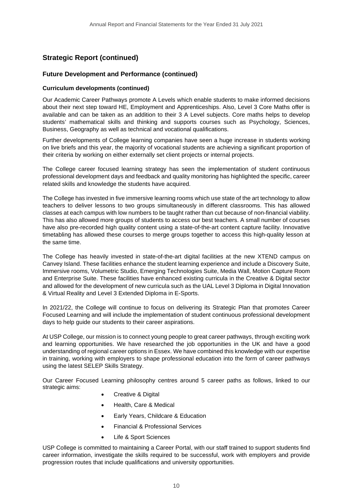# **Future Development and Performance (continued)**

#### **Curriculum developments (continued)**

Our Academic Career Pathways promote A Levels which enable students to make informed decisions about their next step toward HE, Employment and Apprenticeships. Also, Level 3 Core Maths offer is available and can be taken as an addition to their 3 A Level subjects. Core maths helps to develop students' mathematical skills and thinking and supports courses such as Psychology, Sciences, Business, Geography as well as technical and vocational qualifications.

Further developments of College learning companies have seen a huge increase in students working on live briefs and this year, the majority of vocational students are achieving a significant proportion of their criteria by working on either externally set client projects or internal projects.

The College career focused learning strategy has seen the implementation of student continuous professional development days and feedback and quality monitoring has highlighted the specific, career related skills and knowledge the students have acquired.

The College has invested in five immersive learning rooms which use state of the art technology to allow teachers to deliver lessons to two groups simultaneously in different classrooms. This has allowed classes at each campus with low numbers to be taught rather than cut because of non-financial viability. This has also allowed more groups of students to access our best teachers. A small number of courses have also pre-recorded high quality content using a state-of-the-art content capture facility. Innovative timetabling has allowed these courses to merge groups together to access this high-quality lesson at the same time.

The College has heavily invested in state-of-the-art digital facilities at the new XTEND campus on Canvey Island. These facilities enhance the student learning experience and include a Discovery Suite, Immersive rooms, Volumetric Studio, Emerging Technologies Suite, Media Wall, Motion Capture Room and Enterprise Suite. These facilities have enhanced existing curricula in the Creative & Digital sector and allowed for the development of new curricula such as the UAL Level 3 Diploma in Digital Innovation & Virtual Reality and Level 3 Extended Diploma in E-Sports.

In 2021/22, the College will continue to focus on delivering its Strategic Plan that promotes Career Focused Learning and will include the implementation of student continuous professional development days to help guide our students to their career aspirations.

At USP College, our mission is to connect young people to great career pathways, through exciting work and learning opportunities. We have researched the job opportunities in the UK and have a good understanding of regional career options in Essex. We have combined this knowledge with our expertise in training, working with employers to shape professional education into the form of career pathways using the latest SELEP Skills Strategy.

Our Career Focused Learning philosophy centres around 5 career paths as follows, linked to our strategic aims:

- Creative & Digital
- Health, Care & Medical
- Early Years, Childcare & Education
- Financial & Professional Services
- Life & Sport Sciences

USP College is committed to maintaining a Career Portal, with our staff trained to support students find career information, investigate the skills required to be successful, work with employers and provide progression routes that include qualifications and university opportunities.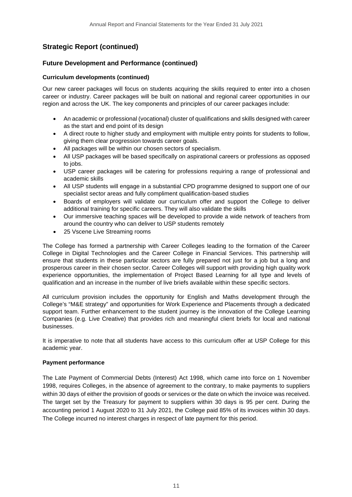# **Future Development and Performance (continued)**

### **Curriculum developments (continued)**

Our new career packages will focus on students acquiring the skills required to enter into a chosen career or industry. Career packages will be built on national and regional career opportunities in our region and across the UK. The key components and principles of our career packages include:

- An academic or professional (vocational) cluster of qualifications and skills designed with career as the start and end point of its design
- A direct route to higher study and employment with multiple entry points for students to follow, giving them clear progression towards career goals.
- All packages will be within our chosen sectors of specialism.
- All USP packages will be based specifically on aspirational careers or professions as opposed to jobs.
- USP career packages will be catering for professions requiring a range of professional and academic skills
- All USP students will engage in a substantial CPD programme designed to support one of our specialist sector areas and fully compliment qualification-based studies
- Boards of employers will validate our curriculum offer and support the College to deliver additional training for specific careers. They will also validate the skills
- Our immersive teaching spaces will be developed to provide a wide network of teachers from around the country who can deliver to USP students remotely
- 25 Vscene Live Streaming rooms

The College has formed a partnership with Career Colleges leading to the formation of the Career College in Digital Technologies and the Career College in Financial Services. This partnership will ensure that students in these particular sectors are fully prepared not just for a job but a long and prosperous career in their chosen sector. Career Colleges will support with providing high quality work experience opportunities, the implementation of Project Based Learning for all type and levels of qualification and an increase in the number of live briefs available within these specific sectors.

All curriculum provision includes the opportunity for English and Maths development through the College's "M&E strategy" and opportunities for Work Experience and Placements through a dedicated support team. Further enhancement to the student journey is the innovation of the College Learning Companies (e.g. Live Creative) that provides rich and meaningful client briefs for local and national businesses.

It is imperative to note that all students have access to this curriculum offer at USP College for this academic year.

# **Payment performance**

The Late Payment of Commercial Debts (Interest) Act 1998, which came into force on 1 November 1998, requires Colleges, in the absence of agreement to the contrary, to make payments to suppliers within 30 days of either the provision of goods or services or the date on which the invoice was received. The target set by the Treasury for payment to suppliers within 30 days is 95 per cent. During the accounting period 1 August 2020 to 31 July 2021, the College paid 85% of its invoices within 30 days. The College incurred no interest charges in respect of late payment for this period.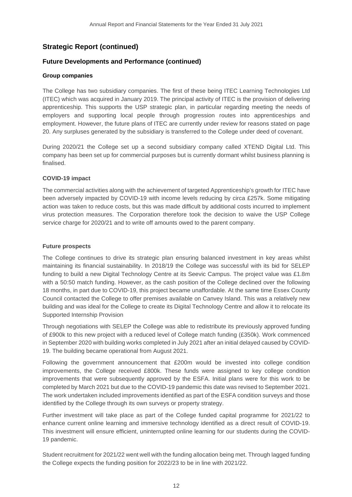## **Future Developments and Performance (continued)**

#### **Group companies**

The College has two subsidiary companies. The first of these being ITEC Learning Technologies Ltd (ITEC) which was acquired in January 2019. The principal activity of ITEC is the provision of delivering apprenticeship. This supports the USP strategic plan, in particular regarding meeting the needs of employers and supporting local people through progression routes into apprenticeships and employment. However, the future plans of ITEC are currently under review for reasons stated on page 20. Any surpluses generated by the subsidiary is transferred to the College under deed of covenant.

During 2020/21 the College set up a second subsidiary company called XTEND Digital Ltd. This company has been set up for commercial purposes but is currently dormant whilst business planning is finalised.

#### **COVID-19 impact**

The commercial activities along with the achievement of targeted Apprenticeship's growth for ITEC have been adversely impacted by COVID-19 with income levels reducing by circa £257k. Some mitigating action was taken to reduce costs, but this was made difficult by additional costs incurred to implement virus protection measures. The Corporation therefore took the decision to waive the USP College service charge for 2020/21 and to write off amounts owed to the parent company.

#### **Future prospects**

The College continues to drive its strategic plan ensuring balanced investment in key areas whilst maintaining its financial sustainability. In 2018/19 the College was successful with its bid for SELEP funding to build a new Digital Technology Centre at its Seevic Campus. The project value was £1.8m with a 50:50 match funding. However, as the cash position of the College declined over the following 18 months, in part due to COVID-19, this project became unaffordable. At the same time Essex County Council contacted the College to offer premises available on Canvey Island. This was a relatively new building and was ideal for the College to create its Digital Technology Centre and allow it to relocate its Supported Internship Provision

Through negotiations with SELEP the College was able to redistribute its previously approved funding of £900k to this new project with a reduced level of College match funding (£350k). Work commenced in September 2020 with building works completed in July 2021 after an initial delayed caused by COVID-19. The building became operational from August 2021.

Following the government announcement that £200m would be invested into college condition improvements, the College received £800k. These funds were assigned to key college condition improvements that were subsequently approved by the ESFA. Initial plans were for this work to be completed by March 2021 but due to the COVID-19 pandemic this date was revised to September 2021. The work undertaken included improvements identified as part of the ESFA condition surveys and those identified by the College through its own surveys or property strategy.

Further investment will take place as part of the College funded capital programme for 2021/22 to enhance current online learning and immersive technology identified as a direct result of COVID-19. This investment will ensure efficient, uninterrupted online learning for our students during the COVID-19 pandemic.

Student recruitment for 2021/22 went well with the funding allocation being met. Through lagged funding the College expects the funding position for 2022/23 to be in line with 2021/22.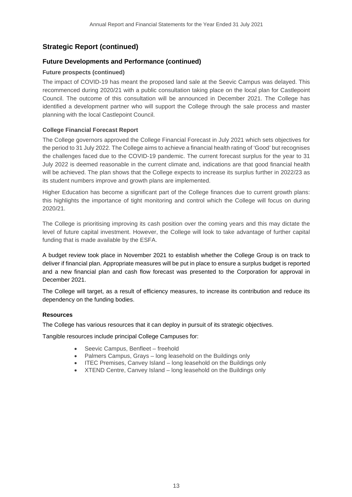# **Future Developments and Performance (continued)**

# **Future prospects (continued)**

The impact of COVID-19 has meant the proposed land sale at the Seevic Campus was delayed. This recommenced during 2020/21 with a public consultation taking place on the local plan for Castlepoint Council. The outcome of this consultation will be announced in December 2021. The College has identified a development partner who will support the College through the sale process and master planning with the local Castlepoint Council.

# **College Financial Forecast Report**

The College governors approved the College Financial Forecast in July 2021 which sets objectives for the period to 31 July 2022. The College aims to achieve a financial health rating of 'Good' but recognises the challenges faced due to the COVID-19 pandemic. The current forecast surplus for the year to 31 July 2022 is deemed reasonable in the current climate and, indications are that good financial health will be achieved. The plan shows that the College expects to increase its surplus further in 2022/23 as its student numbers improve and growth plans are implemented.

Higher Education has become a significant part of the College finances due to current growth plans: this highlights the importance of tight monitoring and control which the College will focus on during 2020/21.

The College is prioritising improving its cash position over the coming years and this may dictate the level of future capital investment. However, the College will look to take advantage of further capital funding that is made available by the ESFA.

A budget review took place in November 2021 to establish whether the College Group is on track to deliver if financial plan. Appropriate measures will be put in place to ensure a surplus budget is reported and a new financial plan and cash flow forecast was presented to the Corporation for approval in December 2021.

The College will target, as a result of efficiency measures, to increase its contribution and reduce its dependency on the funding bodies.

# **Resources**

The College has various resources that it can deploy in pursuit of its strategic objectives.

Tangible resources include principal College Campuses for:

- Seevic Campus, Benfleet freehold
- Palmers Campus, Grays long leasehold on the Buildings only
- ITEC Premises, Canvey Island long leasehold on the Buildings only
- XTEND Centre, Canvey Island long leasehold on the Buildings only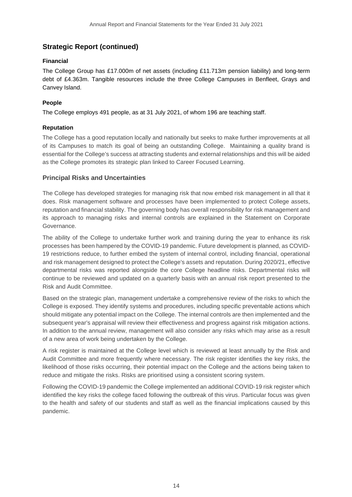### **Financial**

The College Group has £17.000m of net assets (including £11.713m pension liability) and long-term debt of £4.363m. Tangible resources include the three College Campuses in Benfleet, Grays and Canvey Island.

### **People**

The College employs 491 people, as at 31 July 2021, of whom 196 are teaching staff.

### **Reputation**

The College has a good reputation locally and nationally but seeks to make further improvements at all of its Campuses to match its goal of being an outstanding College. Maintaining a quality brand is essential for the College's success at attracting students and external relationships and this will be aided as the College promotes its strategic plan linked to Career Focused Learning.

# **Principal Risks and Uncertainties**

The College has developed strategies for managing risk that now embed risk management in all that it does. Risk management software and processes have been implemented to protect College assets, reputation and financial stability. The governing body has overall responsibility for risk management and its approach to managing risks and internal controls are explained in the Statement on Corporate Governance.

The ability of the College to undertake further work and training during the year to enhance its risk processes has been hampered by the COVID-19 pandemic. Future development is planned, as COVID-19 restrictions reduce, to further embed the system of internal control, including financial, operational and risk management designed to protect the College's assets and reputation. During 2020/21, effective departmental risks was reported alongside the core College headline risks. Departmental risks will continue to be reviewed and updated on a quarterly basis with an annual risk report presented to the Risk and Audit Committee.

Based on the strategic plan, management undertake a comprehensive review of the risks to which the College is exposed. They identify systems and procedures, including specific preventable actions which should mitigate any potential impact on the College. The internal controls are then implemented and the subsequent year's appraisal will review their effectiveness and progress against risk mitigation actions. In addition to the annual review, management will also consider any risks which may arise as a result of a new area of work being undertaken by the College.

A risk register is maintained at the College level which is reviewed at least annually by the Risk and Audit Committee and more frequently where necessary. The risk register identifies the key risks, the likelihood of those risks occurring, their potential impact on the College and the actions being taken to reduce and mitigate the risks. Risks are prioritised using a consistent scoring system.

Following the COVID-19 pandemic the College implemented an additional COVID-19 risk register which identified the key risks the college faced following the outbreak of this virus. Particular focus was given to the health and safety of our students and staff as well as the financial implications caused by this pandemic.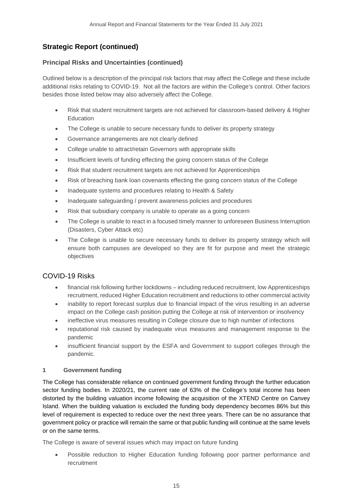# **Principal Risks and Uncertainties (continued)**

Outlined below is a description of the principal risk factors that may affect the College and these include additional risks relating to COVID-19. Not all the factors are within the College's control. Other factors besides those listed below may also adversely affect the College.

- Risk that student recruitment targets are not achieved for classroom-based delivery & Higher Education
- The College is unable to secure necessary funds to deliver its property strategy
- Governance arrangements are not clearly defined
- College unable to attract/retain Governors with appropriate skills
- Insufficient levels of funding effecting the going concern status of the College
- Risk that student recruitment targets are not achieved for Apprenticeships
- Risk of breaching bank loan covenants effecting the going concern status of the College
- Inadequate systems and procedures relating to Health & Safety
- Inadequate safeguarding / prevent awareness policies and procedures
- Risk that subsidiary company is unable to operate as a going concern
- The College is unable to react in a focused timely manner to unforeseen Business Interruption (Disasters, Cyber Attack etc)
- The College is unable to secure necessary funds to deliver its property strategy which will ensure both campuses are developed so they are fit for purpose and meet the strategic objectives

# COVID-19 Risks

- financial risk following further lockdowns including reduced recruitment, low Apprenticeships recruitment, reduced Higher Education recruitment and reductions to other commercial activity
- inability to report forecast surplus due to financial impact of the virus resulting in an adverse impact on the College cash position putting the College at risk of intervention or insolvency
- ineffective virus measures resulting in College closure due to high number of infections
- reputational risk caused by inadequate virus measures and management response to the pandemic
- insufficient financial support by the ESFA and Government to support colleges through the pandemic.

# **1 Government funding**

The College has considerable reliance on continued government funding through the further education sector funding bodies. In 2020/21, the current rate of 63% of the College's total income has been distorted by the building valuation income following the acquisition of the XTEND Centre on Canvey Island. When the building valuation is excluded the funding body dependency becomes 86% but this level of requirement is expected to reduce over the next three years. There can be no assurance that government policy or practice will remain the same or that public funding will continue at the same levels or on the same terms.

The College is aware of several issues which may impact on future funding

• Possible reduction to Higher Education funding following poor partner performance and recruitment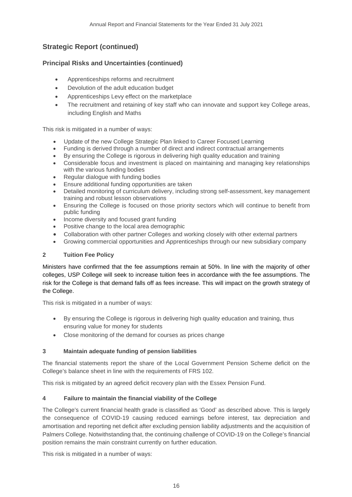# **Principal Risks and Uncertainties (continued)**

- Apprenticeships reforms and recruitment
- Devolution of the adult education budget
- Apprenticeships Levy effect on the marketplace
- The recruitment and retaining of key staff who can innovate and support key College areas, including English and Maths

This risk is mitigated in a number of ways:

- Update of the new College Strategic Plan linked to Career Focused Learning
- Funding is derived through a number of direct and indirect contractual arrangements
- By ensuring the College is rigorous in delivering high quality education and training
- Considerable focus and investment is placed on maintaining and managing key relationships with the various funding bodies
- Regular dialogue with funding bodies
- Ensure additional funding opportunities are taken
- Detailed monitoring of curriculum delivery, including strong self-assessment, key management training and robust lesson observations
- Ensuring the College is focused on those priority sectors which will continue to benefit from public funding
- Income diversity and focused grant funding
- Positive change to the local area demographic
- Collaboration with other partner Colleges and working closely with other external partners
- Growing commercial opportunities and Apprenticeships through our new subsidiary company

#### **2 Tuition Fee Policy**

Ministers have confirmed that the fee assumptions remain at 50%. In line with the majority of other colleges, USP College will seek to increase tuition fees in accordance with the fee assumptions. The risk for the College is that demand falls off as fees increase. This will impact on the growth strategy of the College.

This risk is mitigated in a number of ways:

- By ensuring the College is rigorous in delivering high quality education and training, thus ensuring value for money for students
- Close monitoring of the demand for courses as prices change

# **3 Maintain adequate funding of pension liabilities**

The financial statements report the share of the Local Government Pension Scheme deficit on the College's balance sheet in line with the requirements of FRS 102.

This risk is mitigated by an agreed deficit recovery plan with the Essex Pension Fund.

# **4 Failure to maintain the financial viability of the College**

The College's current financial health grade is classified as 'Good' as described above. This is largely the consequence of COVID-19 causing reduced earnings before interest, tax depreciation and amortisation and reporting net deficit after excluding pension liability adjustments and the acquisition of Palmers College. Notwithstanding that, the continuing challenge of COVID-19 on the College's financial position remains the main constraint currently on further education.

This risk is mitigated in a number of ways: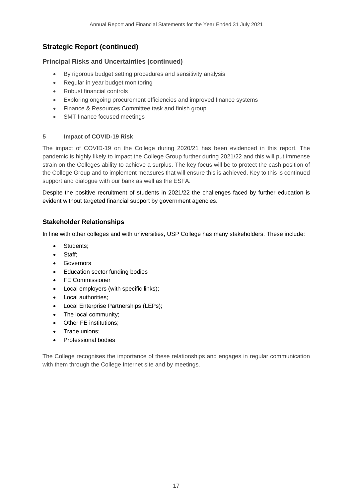# **Principal Risks and Uncertainties (continued)**

- By rigorous budget setting procedures and sensitivity analysis
- Regular in year budget monitoring
- Robust financial controls
- Exploring ongoing procurement efficiencies and improved finance systems
- Finance & Resources Committee task and finish group
- SMT finance focused meetings

# **5 Impact of COVID-19 Risk**

The impact of COVID-19 on the College during 2020/21 has been evidenced in this report. The pandemic is highly likely to impact the College Group further during 2021/22 and this will put immense strain on the Colleges ability to achieve a surplus. The key focus will be to protect the cash position of the College Group and to implement measures that will ensure this is achieved. Key to this is continued support and dialogue with our bank as well as the ESFA.

Despite the positive recruitment of students in 2021/22 the challenges faced by further education is evident without targeted financial support by government agencies.

# **Stakeholder Relationships**

In line with other colleges and with universities, USP College has many stakeholders. These include:

- Students;
- Staff;
- Governors
- Education sector funding bodies
- FE Commissioner
- Local employers (with specific links);
- Local authorities;
- Local Enterprise Partnerships (LEPs);
- The local community;
- Other FE institutions;
- Trade unions;
- Professional bodies

The College recognises the importance of these relationships and engages in regular communication with them through the College Internet site and by meetings.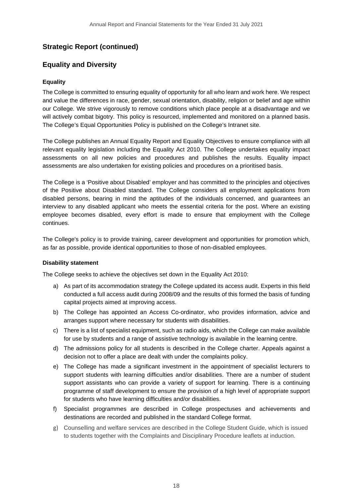# **Equality and Diversity**

### **Equality**

The College is committed to ensuring equality of opportunity for all who learn and work here. We respect and value the differences in race, gender, sexual orientation, disability, religion or belief and age within our College. We strive vigorously to remove conditions which place people at a disadvantage and we will actively combat bigotry. This policy is resourced, implemented and monitored on a planned basis. The College's Equal Opportunities Policy is published on the College's Intranet site.

The College publishes an Annual Equality Report and Equality Objectives to ensure compliance with all relevant equality legislation including the Equality Act 2010. The College undertakes equality impact assessments on all new policies and procedures and publishes the results. Equality impact assessments are also undertaken for existing policies and procedures on a prioritised basis.

The College is a 'Positive about Disabled' employer and has committed to the principles and objectives of the Positive about Disabled standard. The College considers all employment applications from disabled persons, bearing in mind the aptitudes of the individuals concerned, and guarantees an interview to any disabled applicant who meets the essential criteria for the post. Where an existing employee becomes disabled, every effort is made to ensure that employment with the College continues.

The College's policy is to provide training, career development and opportunities for promotion which, as far as possible, provide identical opportunities to those of non-disabled employees.

#### **Disability statement**

The College seeks to achieve the objectives set down in the Equality Act 2010:

- a) As part of its accommodation strategy the College updated its access audit. Experts in this field conducted a full access audit during 2008/09 and the results of this formed the basis of funding capital projects aimed at improving access.
- b) The College has appointed an Access Co-ordinator, who provides information, advice and arranges support where necessary for students with disabilities.
- c) There is a list of specialist equipment, such as radio aids, which the College can make available for use by students and a range of assistive technology is available in the learning centre.
- d) The admissions policy for all students is described in the College charter. Appeals against a decision not to offer a place are dealt with under the complaints policy.
- e) The College has made a significant investment in the appointment of specialist lecturers to support students with learning difficulties and/or disabilities. There are a number of student support assistants who can provide a variety of support for learning. There is a continuing programme of staff development to ensure the provision of a high level of appropriate support for students who have learning difficulties and/or disabilities.
- f) Specialist programmes are described in College prospectuses and achievements and destinations are recorded and published in the standard College format.
- g) Counselling and welfare services are described in the College Student Guide, which is issued to students together with the Complaints and Disciplinary Procedure leaflets at induction.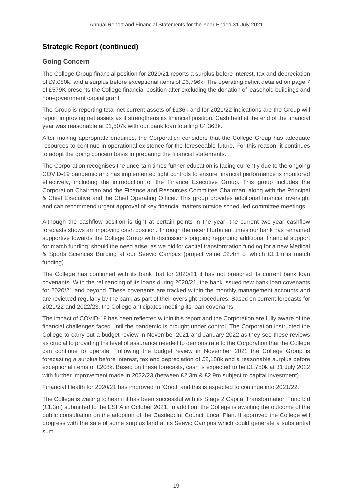# **Going Concern**

The College Group financial position for 2020/21 reports a surplus before interest, tax and depreciation of £9,080k, and a surplus before exceptional items of £6,796k. The operating deficit detailed on page 7 of £579K presents the College financial position after excluding the donation of leasehold buildings and non-government capital grant.

The Group is reporting total net current assets of £136k and for 2021/22 indications are the Group will report improving net assets as it strengthens its financial position. Cash held at the end of the financial year was reasonable at £1,507k with our bank loan totalling £4,363k.

After making appropriate enquiries, the Corporation considers that the College Group has adequate resources to continue in operational existence for the foreseeable future. For this reason, it continues to adopt the going concern basis in preparing the financial statements.

The Corporation recognises the uncertain times further education is facing currently due to the ongoing COVID-19 pandemic and has implemented tight controls to ensure financial performance is monitored effectively, including the introduction of the Finance Executive Group. This group includes the Corporation Chairman and the Finance and Resources Committee Chairman, along with the Principal & Chief Executive and the Chief Operating Officer. This group provides additional financial oversight and can recommend urgent approval of key financial matters outside scheduled committee meetings.

Although the cashflow position is tight at certain points in the year, the current two-year cashflow forecasts shows an improving cash position. Through the recent turbulent times our bank has remained supportive towards the College Group with discussions ongoing regarding additional financial support for match funding, should the need arise, as we bid for capital transformation funding for a new Medical & Sports Sciences Building at our Seevic Campus (project value £2.4m of which £1.1m is match funding).

The College has confirmed with its bank that for 2020/21 it has not breached its current bank loan covenants. With the refinancing of its loans during 2020/21, the bank issued new bank loan covenants for 2020/21 and beyond. These covenants are tracked within the monthly management accounts and are reviewed regularly by the bank as part of their oversight procedures. Based on current forecasts for 2021/22 and 2022/23, the College anticipates meeting its loan covenants.

The impact of COVID-19 has been reflected within this report and the Corporation are fully aware of the financial challenges faced until the pandemic is brought under control. The Corporation instructed the College to carry out a budget review in November 2021 and January 2022 as they see these reviews as crucial to providing the level of assurance needed to demonstrate to the Corporation that the College can continue to operate. Following the budget review in November 2021 the College Group is forecasting a surplus before interest, tax and depreciation of £2,188k and a reasonable surplus before exceptional items of £208k. Based on these forecasts, cash is expected to be £1,750k at 31 July 2022 with further improvement made in 2022/23 (between £2.3m & £2.9m subject to capital investment).

Financial Health for 2020/21 has improved to 'Good' and this is expected to continue into 2021/22.

The College is waiting to hear if it has been successful with its Stage 2 Capital Transformation Fund bid (£1.3m) submitted to the ESFA in October 2021. In addition, the College is awaiting the outcome of the public consultation on the adoption of the Castlepoint Council Local Plan. If approved the College will progress with the sale of some surplus land at its Seevic Campus which could generate a substantial sum.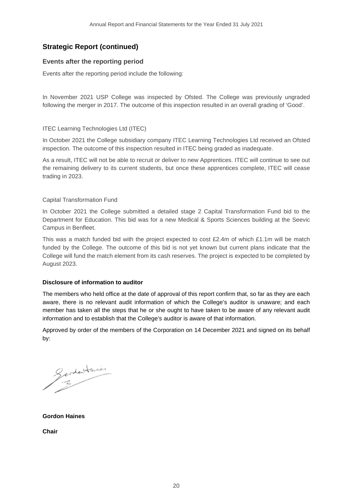# **Events after the reporting period**

Events after the reporting period include the following:

In November 2021 USP College was inspected by Ofsted. The College was previously ungraded following the merger in 2017. The outcome of this inspection resulted in an overall grading of 'Good'.

# ITEC Learning Technologies Ltd (ITEC)

In October 2021 the College subsidiary company ITEC Learning Technologies Ltd received an Ofsted inspection. The outcome of this inspection resulted in ITEC being graded as inadequate.

As a result, ITEC will not be able to recruit or deliver to new Apprentices. ITEC will continue to see out the remaining delivery to its current students, but once these apprentices complete, ITEC will cease trading in 2023.

# Capital Transformation Fund

In October 2021 the College submitted a detailed stage 2 Capital Transformation Fund bid to the Department for Education. This bid was for a new Medical & Sports Sciences building at the Seevic Campus in Benfleet.

This was a match funded bid with the project expected to cost £2.4m of which £1.1m will be match funded by the College. The outcome of this bid is not yet known but current plans indicate that the College will fund the match element from its cash reserves. The project is expected to be completed by August 2023.

# **Disclosure of information to auditor**

The members who held office at the date of approval of this report confirm that, so far as they are each aware, there is no relevant audit information of which the College's auditor is unaware; and each member has taken all the steps that he or she ought to have taken to be aware of any relevant audit information and to establish that the College's auditor is aware of that information.

Approved by order of the members of the Corporation on 14 December 2021 and signed on its behalf by:

Gerdentaines

**Gordon Haines**

**Chair**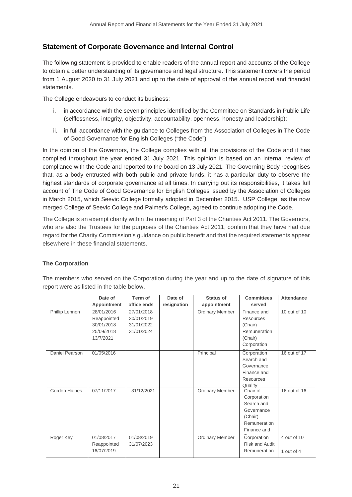# **Statement of Corporate Governance and Internal Control**

The following statement is provided to enable readers of the annual report and accounts of the College to obtain a better understanding of its governance and legal structure. This statement covers the period from 1 August 2020 to 31 July 2021 and up to the date of approval of the annual report and financial statements.

The College endeavours to conduct its business:

- i. in accordance with the seven principles identified by the Committee on Standards in Public Life (selflessness, integrity, objectivity, accountability, openness, honesty and leadership);
- ii. in full accordance with the guidance to Colleges from the Association of Colleges in The Code of Good Governance for English Colleges ("the Code")

In the opinion of the Governors, the College complies with all the provisions of the Code and it has complied throughout the year ended 31 July 2021. This opinion is based on an internal review of compliance with the Code and reported to the board on 13 July 2021. The Governing Body recognises that, as a body entrusted with both public and private funds, it has a particular duty to observe the highest standards of corporate governance at all times. In carrying out its responsibilities, it takes full account of The Code of Good Governance for English Colleges issued by the Association of Colleges in March 2015, which Seevic College formally adopted in December 2015. USP College, as the now merged College of Seevic College and Palmer's College, agreed to continue adopting the Code.

The College is an exempt charity within the meaning of Part 3 of the Charities Act 2011. The Governors, who are also the Trustees for the purposes of the Charities Act 2011, confirm that they have had due regard for the Charity Commission's guidance on public benefit and that the required statements appear elsewhere in these financial statements.

# **The Corporation**

|                      | Date of            | Term of     | Date of     | Status of              | <b>Committees</b>     | <b>Attendance</b> |
|----------------------|--------------------|-------------|-------------|------------------------|-----------------------|-------------------|
|                      | <b>Appointment</b> | office ends | resignation | appointment            | served                |                   |
| Phillip Lennon       | 28/01/2016         | 27/01/2018  |             | <b>Ordinary Member</b> | Finance and           | 10 out of 10      |
|                      | Reappointed        | 30/01/2019  |             |                        | Resources             |                   |
|                      | 30/01/2018         | 31/01/2022  |             |                        | (Chair)               |                   |
|                      | 25/09/2018         | 31/01/2024  |             |                        | Remuneration          |                   |
|                      | 13/7/2021          |             |             |                        | (Chair)               |                   |
|                      |                    |             |             |                        | Corporation           |                   |
| Daniel Pearson       | 01/05/2016         |             |             | Principal              | Corporation           | 16 out of 17      |
|                      |                    |             |             |                        | Search and            |                   |
|                      |                    |             |             |                        | Governance            |                   |
|                      |                    |             |             |                        | Finance and           |                   |
|                      |                    |             |             |                        | Resources             |                   |
|                      |                    |             |             |                        | Quality               |                   |
| <b>Gordon Haines</b> | 07/11/2017         | 31/12/2021  |             | <b>Ordinary Member</b> | Chair of              | 16 out of 16      |
|                      |                    |             |             |                        | Corporation           |                   |
|                      |                    |             |             |                        | Search and            |                   |
|                      |                    |             |             |                        | Governance            |                   |
|                      |                    |             |             |                        | (Chair)               |                   |
|                      |                    |             |             |                        | Remuneration          |                   |
|                      |                    |             |             |                        | Finance and           |                   |
| Roger Key            | 01/08/2017         | 01/08/2019  |             | <b>Ordinary Member</b> | Corporation           | 4 out of 10       |
|                      | Reappointed        | 31/07/2023  |             |                        | <b>Risk and Audit</b> |                   |
|                      | 16/07/2019         |             |             |                        | Remuneration          | 1 out of $4$      |

The members who served on the Corporation during the year and up to the date of signature of this report were as listed in the table below.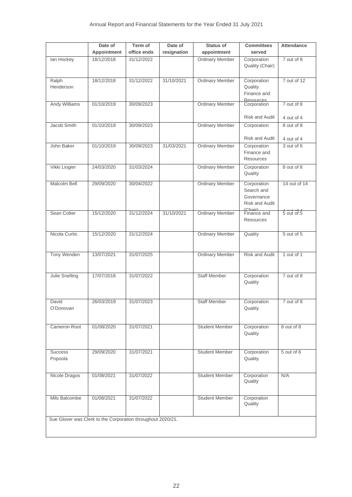|                           | Date of                                                     | Term of<br>office ends | Date of     | <b>Status of</b>       | <b>Committees</b><br>served                                            | <b>Attendance</b>        |
|---------------------------|-------------------------------------------------------------|------------------------|-------------|------------------------|------------------------------------------------------------------------|--------------------------|
|                           | Appointment<br>18/12/2018                                   | 31/12/2022             | resignation | appointment            |                                                                        |                          |
| lan Hockey                |                                                             |                        |             | <b>Ordinary Member</b> | Corporation<br>Quality (Chair)                                         | 7 out of 8               |
| Ralph<br>Henderson        | 18/12/2018                                                  | 31/12/2022             | 31/10/2021  | <b>Ordinary Member</b> | Corporation<br>Quality<br>Finance and<br><b>Resources</b>              | 7 out of 12              |
| <b>Andy Williams</b>      | 01/10/2019                                                  | 30/09/2023             |             | <b>Ordinary Member</b> | Corporation<br><b>Risk and Audit</b>                                   | 7 out of 8<br>4 out of 4 |
| Jacob Smith               | 01/10/2019                                                  | 30/09/2023             |             | <b>Ordinary Member</b> | Corporation                                                            | 8 out of 8               |
|                           |                                                             |                        |             |                        | <b>Risk and Audit</b>                                                  | 4 out of 4               |
| John Baker                | 01/10/2019                                                  | 30/09/2023             | 31/03/2021  | <b>Ordinary Member</b> | Corporation<br>Finance and<br>Resources                                | 3 out of 6               |
| Vikki Liogier             | 24/03/2020                                                  | 31/03/2024             |             | <b>Ordinary Member</b> | Corporation<br>Quality                                                 | 8 out of 8               |
| Malcolm Bell              | 29/09/2020                                                  | 30/04/2022             |             | <b>Ordinary Member</b> | Corporation<br>Search and<br>Governance<br>Risk and Audit<br>(Chapter) | 14 out of 14             |
| Sean Cotter               | 15/12/2020                                                  | 31/12/2024             | 31/10/2021  | <b>Ordinary Member</b> | Finance and<br><b>Resources</b>                                        | 5 out of 5               |
| Nicola Curtis             | 15/12/2020                                                  | 31/12/2024             |             | <b>Ordinary Member</b> | Quality                                                                | 5 out of 5               |
| Tony Wenden               | 13/07/2021                                                  | 31/07/2025             |             | <b>Ordinary Member</b> | <b>Risk and Audit</b>                                                  | 1 out of 1               |
| Julie Snelling            | 17/07/2018                                                  | 31/07/2022             |             | <b>Staff Member</b>    | Corporation<br>Quality                                                 | 7 out of 8               |
| David<br>O'Donovan        | 26/03/2019                                                  | 31/07/2023             |             | <b>Staff Member</b>    | Corporation<br>Quality                                                 | 7 out of 8               |
| Cameron Root              | 01/08/2020                                                  | 31/07/2021             |             | <b>Student Member</b>  | Corporation<br>Quality                                                 | 8 out of 8               |
| <b>Success</b><br>Popoola | 29/09/2020                                                  | 31/07/2021             |             | <b>Student Member</b>  | Corporation<br>Quality                                                 | $5$ out of $6$           |
| Nicole Dragos             | 01/08/2021                                                  | 31/07/2022             |             | <b>Student Member</b>  | Corporation<br>Quality                                                 | N/A                      |
| Mils Balcombe             | 01/08/2021                                                  | 31/07/2022             |             | <b>Student Member</b>  | Corporation<br>Quality                                                 |                          |
|                           | Sue Glover was Clerk to the Corporation throughout 2020/21. |                        |             |                        |                                                                        |                          |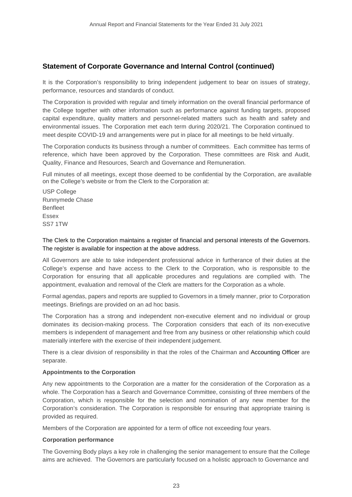It is the Corporation's responsibility to bring independent judgement to bear on issues of strategy, performance, resources and standards of conduct.

The Corporation is provided with regular and timely information on the overall financial performance of the College together with other information such as performance against funding targets, proposed capital expenditure, quality matters and personnel-related matters such as health and safety and environmental issues. The Corporation met each term during 2020/21. The Corporation continued to meet despite COVID-19 and arrangements were put in place for all meetings to be held virtually.

The Corporation conducts its business through a number of committees. Each committee has terms of reference, which have been approved by the Corporation. These committees are Risk and Audit, Quality, Finance and Resources, Search and Governance and Remuneration.

Full minutes of all meetings, except those deemed to be confidential by the Corporation, are available on the College's website or from the Clerk to the Corporation at:

USP College Runnymede Chase **Benfleet** Essex SS7 1TW

#### The Clerk to the Corporation maintains a register of financial and personal interests of the Governors. The register is available for inspection at the above address.

All Governors are able to take independent professional advice in furtherance of their duties at the College's expense and have access to the Clerk to the Corporation, who is responsible to the Corporation for ensuring that all applicable procedures and regulations are complied with. The appointment, evaluation and removal of the Clerk are matters for the Corporation as a whole.

Formal agendas, papers and reports are supplied to Governors in a timely manner, prior to Corporation meetings. Briefings are provided on an ad hoc basis.

The Corporation has a strong and independent non-executive element and no individual or group dominates its decision-making process. The Corporation considers that each of its non-executive members is independent of management and free from any business or other relationship which could materially interfere with the exercise of their independent judgement.

There is a clear division of responsibility in that the roles of the Chairman and Accounting Officer are separate.

#### **Appointments to the Corporation**

Any new appointments to the Corporation are a matter for the consideration of the Corporation as a whole. The Corporation has a Search and Governance Committee, consisting of three members of the Corporation, which is responsible for the selection and nomination of any new member for the Corporation's consideration. The Corporation is responsible for ensuring that appropriate training is provided as required.

Members of the Corporation are appointed for a term of office not exceeding four years.

#### **Corporation performance**

The Governing Body plays a key role in challenging the senior management to ensure that the College aims are achieved. The Governors are particularly focused on a holistic approach to Governance and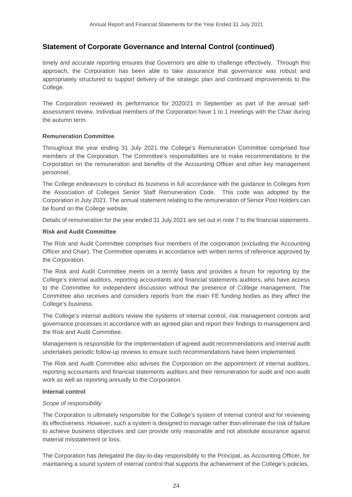timely and accurate reporting ensures that Governors are able to challenge effectively. Through this approach, the Corporation has been able to take assurance that governance was robust and appropriately structured to support delivery of the strategic plan and continued improvements to the College.

The Corporation reviewed its performance for 2020/21 in September as part of the annual selfassessment review. Individual members of the Corporation have 1 to 1 meetings with the Chair during the autumn term.

# **Remuneration Committee**

Throughout the year ending 31 July 2021 the College's Remuneration Committee comprised four members of the Corporation. The Committee's responsibilities are to make recommendations to the Corporation on the remuneration and benefits of the Accounting Officer and other key management personnel.

The College endeavours to conduct its business in full accordance with the guidance to Colleges from the Association of Colleges Senior Staff Remuneration Code. This code was adopted by the Corporation in July 2021. The annual statement relating to the remuneration of Senior Post Holders can be found on the College website.

Details of remuneration for the year ended 31 July 2021 are set out in note 7 to the financial statements.

# **Risk and Audit Committee**

The Risk and Audit Committee comprises four members of the corporation (excluding the Accounting Officer and Chair). The Committee operates in accordance with written terms of reference approved by the Corporation.

The Risk and Audit Committee meets on a termly basis and provides a forum for reporting by the College's internal auditors, reporting accountants and financial statements auditors, who have access to the Committee for independent discussion without the presence of College management. The Committee also receives and considers reports from the main FE funding bodies as they affect the College's business.

The College's internal auditors review the systems of internal control, risk management controls and governance processes in accordance with an agreed plan and report their findings to management and the Risk and Audit Committee.

Management is responsible for the implementation of agreed audit recommendations and internal audit undertakes periodic follow-up reviews to ensure such recommendations have been implemented.

The Risk and Audit Committee also advises the Corporation on the appointment of internal auditors, reporting accountants and financial statements auditors and their remuneration for audit and non-audit work as well as reporting annually to the Corporation.

#### **Internal control**

#### *Scope of responsibility*

The Corporation is ultimately responsible for the College's system of internal control and for reviewing its effectiveness. However, such a system is designed to manage rather than eliminate the risk of failure to achieve business objectives and can provide only reasonable and not absolute assurance against material misstatement or loss.

The Corporation has delegated the day-to-day responsibility to the Principal, as Accounting Officer, for maintaining a sound system of internal control that supports the achievement of the College's policies,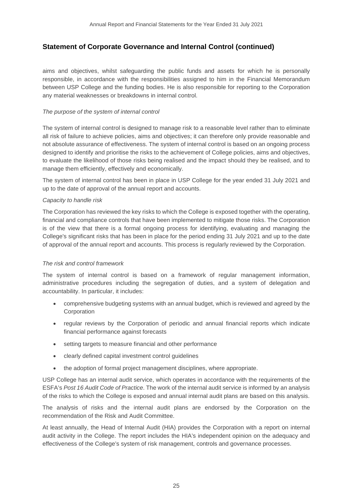aims and objectives, whilst safeguarding the public funds and assets for which he is personally responsible, in accordance with the responsibilities assigned to him in the Financial Memorandum between USP College and the funding bodies. He is also responsible for reporting to the Corporation any material weaknesses or breakdowns in internal control.

### *The purpose of the system of internal control*

The system of internal control is designed to manage risk to a reasonable level rather than to eliminate all risk of failure to achieve policies, aims and objectives; it can therefore only provide reasonable and not absolute assurance of effectiveness. The system of internal control is based on an ongoing process designed to identify and prioritise the risks to the achievement of College policies, aims and objectives, to evaluate the likelihood of those risks being realised and the impact should they be realised, and to manage them efficiently, effectively and economically.

The system of internal control has been in place in USP College for the year ended 31 July 2021 and up to the date of approval of the annual report and accounts.

#### *Capacity to handle risk*

The Corporation has reviewed the key risks to which the College is exposed together with the operating, financial and compliance controls that have been implemented to mitigate those risks. The Corporation is of the view that there is a formal ongoing process for identifying, evaluating and managing the College's significant risks that has been in place for the period ending 31 July 2021 and up to the date of approval of the annual report and accounts. This process is regularly reviewed by the Corporation.

#### *The risk and control framework*

The system of internal control is based on a framework of regular management information, administrative procedures including the segregation of duties, and a system of delegation and accountability. In particular, it includes:

- comprehensive budgeting systems with an annual budget, which is reviewed and agreed by the Corporation
- regular reviews by the Corporation of periodic and annual financial reports which indicate financial performance against forecasts
- setting targets to measure financial and other performance
- clearly defined capital investment control guidelines
- the adoption of formal project management disciplines, where appropriate.

USP College has an internal audit service, which operates in accordance with the requirements of the ESFA's *Post 16 Audit Code of Practice*. The work of the internal audit service is informed by an analysis of the risks to which the College is exposed and annual internal audit plans are based on this analysis.

The analysis of risks and the internal audit plans are endorsed by the Corporation on the recommendation of the Risk and Audit Committee.

At least annually, the Head of Internal Audit (HIA) provides the Corporation with a report on internal audit activity in the College. The report includes the HIA's independent opinion on the adequacy and effectiveness of the College's system of risk management, controls and governance processes.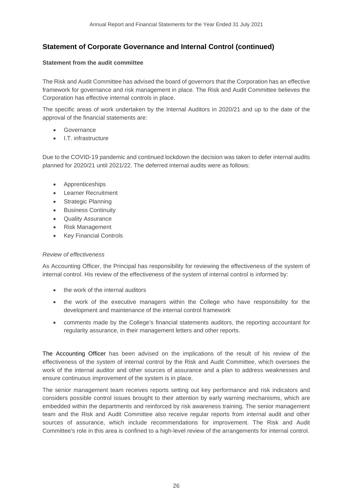### **Statement from the audit committee**

The Risk and Audit Committee has advised the board of governors that the Corporation has an effective framework for governance and risk management in place. The Risk and Audit Committee believes the Corporation has effective internal controls in place.

The specific areas of work undertaken by the Internal Auditors in 2020/21 and up to the date of the approval of the financial statements are:

- **Governance**
- I.T. infrastructure

Due to the COVID-19 pandemic and continued lockdown the decision was taken to defer internal audits planned for 2020/21 until 2021/22. The deferred internal audits were as follows:

- Apprenticeships
- Learner Recruitment
- **Strategic Planning**
- Business Continuity
- Quality Assurance
- Risk Management
- Key Financial Controls

# *Review of effectiveness*

As Accounting Officer, the Principal has responsibility for reviewing the effectiveness of the system of internal control. His review of the effectiveness of the system of internal control is informed by:

- the work of the internal auditors
- the work of the executive managers within the College who have responsibility for the development and maintenance of the internal control framework
- comments made by the College's financial statements auditors, the reporting accountant for regularity assurance, in their management letters and other reports.

The Accounting Officer has been advised on the implications of the result of his review of the effectiveness of the system of internal control by the Risk and Audit Committee, which oversees the work of the internal auditor and other sources of assurance and a plan to address weaknesses and ensure continuous improvement of the system is in place.

The senior management team receives reports setting out key performance and risk indicators and considers possible control issues brought to their attention by early warning mechanisms, which are embedded within the departments and reinforced by risk awareness training. The senior management team and the Risk and Audit Committee also receive regular reports from internal audit and other sources of assurance, which include recommendations for improvement. The Risk and Audit Committee's role in this area is confined to a high-level review of the arrangements for internal control.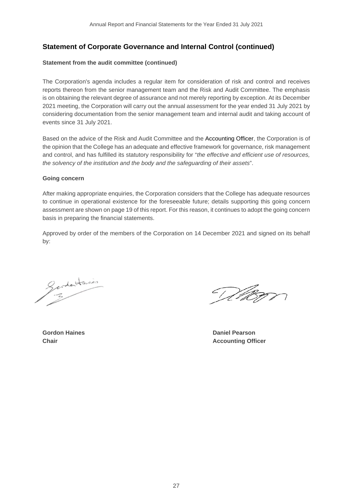#### **Statement from the audit committee (continued)**

The Corporation's agenda includes a regular item for consideration of risk and control and receives reports thereon from the senior management team and the Risk and Audit Committee. The emphasis is on obtaining the relevant degree of assurance and not merely reporting by exception. At its December 2021 meeting, the Corporation will carry out the annual assessment for the year ended 31 July 2021 by considering documentation from the senior management team and internal audit and taking account of events since 31 July 2021.

Based on the advice of the Risk and Audit Committee and the Accounting Officer, the Corporation is of the opinion that the College has an adequate and effective framework for governance, risk management and control, and has fulfilled its statutory responsibility for "*the effective and efficient use of resources, the solvency of the institution and the body and the safeguarding of their assets*".

#### **Going concern**

After making appropriate enquiries, the Corporation considers that the College has adequate resources to continue in operational existence for the foreseeable future; details supporting this going concern assessment are shown on page 19 of this report. For this reason, it continues to adopt the going concern basis in preparing the financial statements.

Approved by order of the members of the Corporation on 14 December 2021 and signed on its behalf by:

Gerdentaires

Vikon

**Gordon Haines Daniel Pearson Chair Accounting Officer**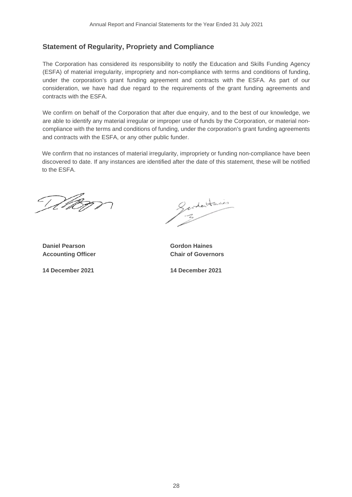# **Statement of Regularity, Propriety and Compliance**

The Corporation has considered its responsibility to notify the Education and Skills Funding Agency (ESFA) of material irregularity, impropriety and non-compliance with terms and conditions of funding, under the corporation's grant funding agreement and contracts with the ESFA. As part of our consideration, we have had due regard to the requirements of the grant funding agreements and contracts with the ESFA.

We confirm on behalf of the Corporation that after due enquiry, and to the best of our knowledge, we are able to identify any material irregular or improper use of funds by the Corporation, or material noncompliance with the terms and conditions of funding, under the corporation's grant funding agreements and contracts with the ESFA, or any other public funder.

We confirm that no instances of material irregularity, impropriety or funding non-compliance have been discovered to date. If any instances are identified after the date of this statement, these will be notified to the ESFA.

DA

**Daniel Pearson Gordon Haines** 

Gardentaines

**Accounting Officer Chair of Governors**

**14 December 2021 14 December 2021**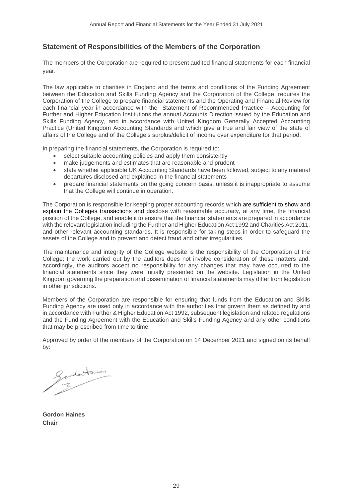# **Statement of Responsibilities of the Members of the Corporation**

The members of the Corporation are required to present audited financial statements for each financial year.

The law applicable to charities in England and the terms and conditions of the Funding Agreement between the Education and Skills Funding Agency and the Corporation of the College, requires the Corporation of the College to prepare financial statements and the Operating and Financial Review for each financial year in accordance with the Statement of Recommended Practice – Accounting for Further and Higher Education Institutions the annual Accounts Direction issued by the Education and Skills Funding Agency, and in accordance with United Kingdom Generally Accepted Accounting Practice (United Kingdom Accounting Standards and which give a true and fair view of the state of affairs of the College and of the College's surplus/deficit of income over expenditure for that period.

In preparing the financial statements, the Corporation is required to:

- select suitable accounting policies and apply them consistently
- make judgements and estimates that are reasonable and prudent
- state whether applicable UK Accounting Standards have been followed, subject to any material departures disclosed and explained in the financial statements
- prepare financial statements on the going concern basis, unless it is inappropriate to assume that the College will continue in operation.

The Corporation is responsible for keeping proper accounting records which are sufficient to show and explain the Colleges transactions and disclose with reasonable accuracy, at any time, the financial position of the College, and enable it to ensure that the financial statements are prepared in accordance with the relevant legislation including the Further and Higher Education Act 1992 and Charities Act 2011, and other relevant accounting standards. It is responsible for taking steps in order to safeguard the assets of the College and to prevent and detect fraud and other irregularities.

The maintenance and integrity of the College website is the responsibility of the Corporation of the College; the work carried out by the auditors does not involve consideration of these matters and, accordingly, the auditors accept no responsibility for any changes that may have occurred to the financial statements since they were initially presented on the website. Legislation in the United Kingdom governing the preparation and dissemination of financial statements may differ from legislation in other jurisdictions.

Members of the Corporation are responsible for ensuring that funds from the Education and Skills Funding Agency are used only in accordance with the authorities that govern them as defined by and in accordance with Further & Higher Education Act 1992, subsequent legislation and related regulations and the Funding Agreement with the Education and Skills Funding Agency and any other conditions that may be prescribed from time to time.

Approved by order of the members of the Corporation on 14 December 2021 and signed on its behalf by:

Gerdentaines

**Gordon Haines Chair**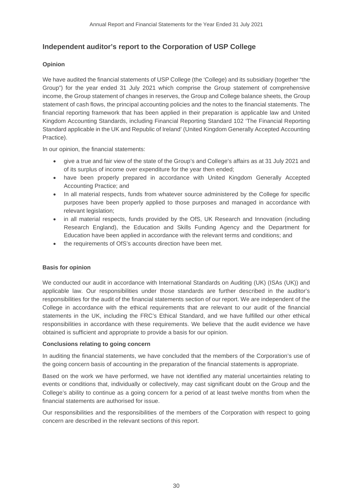# **Independent auditor's report to the Corporation of USP College**

# **Opinion**

We have audited the financial statements of USP College (the 'College) and its subsidiary (together "the Group") for the year ended 31 July 2021 which comprise the Group statement of comprehensive income, the Group statement of changes in reserves, the Group and College balance sheets, the Group statement of cash flows, the principal accounting policies and the notes to the financial statements. The financial reporting framework that has been applied in their preparation is applicable law and United Kingdom Accounting Standards, including Financial Reporting Standard 102 'The Financial Reporting Standard applicable in the UK and Republic of Ireland' (United Kingdom Generally Accepted Accounting Practice).

In our opinion, the financial statements:

- give a true and fair view of the state of the Group's and College's affairs as at 31 July 2021 and of its surplus of income over expenditure for the year then ended;
- have been properly prepared in accordance with United Kingdom Generally Accepted Accounting Practice; and
- In all material respects, funds from whatever source administered by the College for specific purposes have been properly applied to those purposes and managed in accordance with relevant legislation;
- in all material respects, funds provided by the OfS, UK Research and Innovation (including Research England), the Education and Skills Funding Agency and the Department for Education have been applied in accordance with the relevant terms and conditions; and
- the requirements of OfS's accounts direction have been met.

# **Basis for opinion**

We conducted our audit in accordance with International Standards on Auditing (UK) (ISAs (UK)) and applicable law. Our responsibilities under those standards are further described in the auditor's responsibilities for the audit of the financial statements section of our report. We are independent of the College in accordance with the ethical requirements that are relevant to our audit of the financial statements in the UK, including the FRC's Ethical Standard, and we have fulfilled our other ethical responsibilities in accordance with these requirements. We believe that the audit evidence we have obtained is sufficient and appropriate to provide a basis for our opinion.

#### **Conclusions relating to going concern**

In auditing the financial statements, we have concluded that the members of the Corporation's use of the going concern basis of accounting in the preparation of the financial statements is appropriate.

Based on the work we have performed, we have not identified any material uncertainties relating to events or conditions that, individually or collectively, may cast significant doubt on the Group and the College's ability to continue as a going concern for a period of at least twelve months from when the financial statements are authorised for issue.

Our responsibilities and the responsibilities of the members of the Corporation with respect to going concern are described in the relevant sections of this report.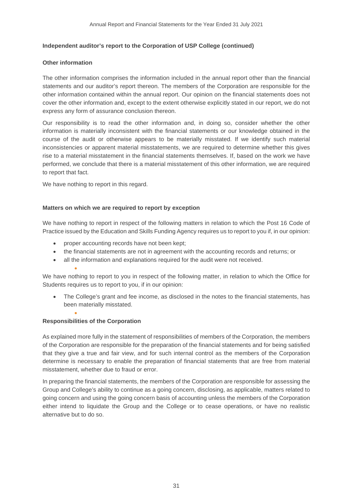### **Independent auditor's report to the Corporation of USP College (continued)**

#### **Other information**

The other information comprises the information included in the annual report other than the financial statements and our auditor's report thereon. The members of the Corporation are responsible for the other information contained within the annual report. Our opinion on the financial statements does not cover the other information and, except to the extent otherwise explicitly stated in our report, we do not express any form of assurance conclusion thereon.

Our responsibility is to read the other information and, in doing so, consider whether the other information is materially inconsistent with the financial statements or our knowledge obtained in the course of the audit or otherwise appears to be materially misstated. If we identify such material inconsistencies or apparent material misstatements, we are required to determine whether this gives rise to a material misstatement in the financial statements themselves. If, based on the work we have performed, we conclude that there is a material misstatement of this other information, we are required to report that fact.

We have nothing to report in this regard.

#### **Matters on which we are required to report by exception**

We have nothing to report in respect of the following matters in relation to which the Post 16 Code of Practice issued by the Education and Skills Funding Agency requires us to report to you if, in our opinion:

- proper accounting records have not been kept;
- the financial statements are not in agreement with the accounting records and returns; or
- all the information and explanations required for the audit were not received.

We have nothing to report to you in respect of the following matter, in relation to which the Office for Students requires us to report to you, if in our opinion:

• The College's grant and fee income, as disclosed in the notes to the financial statements, has been materially misstated.

#### **Responsibilities of the Corporation**

•

•

As explained more fully in the statement of responsibilities of members of the Corporation, the members of the Corporation are responsible for the preparation of the financial statements and for being satisfied that they give a true and fair view, and for such internal control as the members of the Corporation determine is necessary to enable the preparation of financial statements that are free from material misstatement, whether due to fraud or error.

In preparing the financial statements, the members of the Corporation are responsible for assessing the Group and College's ability to continue as a going concern, disclosing, as applicable, matters related to going concern and using the going concern basis of accounting unless the members of the Corporation either intend to liquidate the Group and the College or to cease operations, or have no realistic alternative but to do so.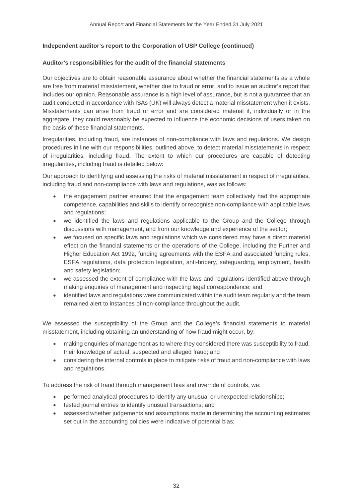### **Independent auditor's report to the Corporation of USP College (continued)**

#### **Auditor's responsibilities for the audit of the financial statements**

Our objectives are to obtain reasonable assurance about whether the financial statements as a whole are free from material misstatement, whether due to fraud or error, and to issue an auditor's report that includes our opinion. Reasonable assurance is a high level of assurance, but is not a guarantee that an audit conducted in accordance with ISAs (UK) will always detect a material misstatement when it exists. Misstatements can arise from fraud or error and are considered material if, individually or in the aggregate, they could reasonably be expected to influence the economic decisions of users taken on the basis of these financial statements.

Irregularities, including fraud, are instances of non-compliance with laws and regulations. We design procedures in line with our responsibilities, outlined above, to detect material misstatements in respect of irregularities, including fraud. The extent to which our procedures are capable of detecting irregularities, including fraud is detailed below:

Our approach to identifying and assessing the risks of material misstatement in respect of irregularities, including fraud and non-compliance with laws and regulations, was as follows:

- the engagement partner ensured that the engagement team collectively had the appropriate competence, capabilities and skills to identify or recognise non-compliance with applicable laws and regulations;
- we identified the laws and regulations applicable to the Group and the College through discussions with management, and from our knowledge and experience of the sector;
- we focused on specific laws and regulations which we considered may have a direct material effect on the financial statements or the operations of the College, including the Further and Higher Education Act 1992, funding agreements with the ESFA and associated funding rules, ESFA regulations, data protection legislation, anti-bribery, safeguarding, employment, health and safety legislation;
- we assessed the extent of compliance with the laws and regulations identified above through making enquiries of management and inspecting legal correspondence; and
- identified laws and regulations were communicated within the audit team regularly and the team remained alert to instances of non-compliance throughout the audit.

We assessed the susceptibility of the Group and the College's financial statements to material misstatement, including obtaining an understanding of how fraud might occur, by:

- making enquiries of management as to where they considered there was susceptibility to fraud, their knowledge of actual, suspected and alleged fraud; and
- considering the internal controls in place to mitigate risks of fraud and non-compliance with laws and regulations.

To address the risk of fraud through management bias and override of controls, we:

- performed analytical procedures to identify any unusual or unexpected relationships;
- tested journal entries to identify unusual transactions; and
- assessed whether judgements and assumptions made in determining the accounting estimates set out in the accounting policies were indicative of potential bias;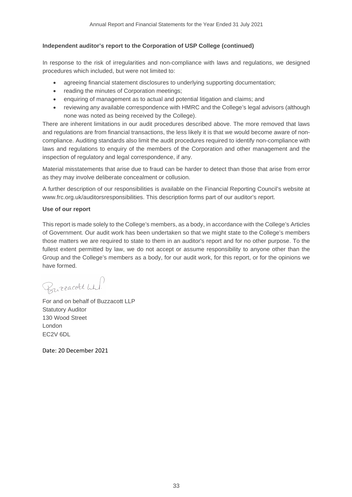### **Independent auditor's report to the Corporation of USP College (continued)**

In response to the risk of irregularities and non-compliance with laws and regulations, we designed procedures which included, but were not limited to:

- agreeing financial statement disclosures to underlying supporting documentation;
- reading the minutes of Corporation meetings:
- enquiring of management as to actual and potential litigation and claims; and
- reviewing any available correspondence with HMRC and the College's legal advisors (although none was noted as being received by the College).

There are inherent limitations in our audit procedures described above. The more removed that laws and regulations are from financial transactions, the less likely it is that we would become aware of noncompliance. Auditing standards also limit the audit procedures required to identify non-compliance with laws and regulations to enquiry of the members of the Corporation and other management and the inspection of regulatory and legal correspondence, if any.

Material misstatements that arise due to fraud can be harder to detect than those that arise from error as they may involve deliberate concealment or collusion.

A further description of our responsibilities is available on the Financial Reporting Council's website at www.frc.org.uk/auditorsresponsibilities. This description forms part of our auditor's report.

#### **Use of our report**

This report is made solely to the College's members, as a body, in accordance with the College's Articles of Government. Our audit work has been undertaken so that we might state to the College's members those matters we are required to state to them in an auditor's report and for no other purpose. To the fullest extent permitted by law, we do not accept or assume responsibility to anyone other than the Group and the College's members as a body, for our audit work, for this report, or for the opinions we have formed.

Burracolt wh.

For and on behalf of Buzzacott LLP Statutory Auditor 130 Wood Street London EC2V 6DL

Date: 20 December 2021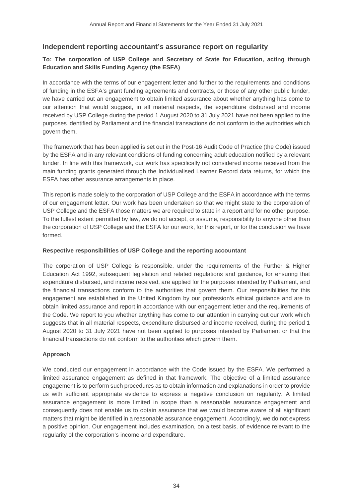# **Independent reporting accountant's assurance report on regularity**

# **To: The corporation of USP College and Secretary of State for Education, acting through Education and Skills Funding Agency (the ESFA)**

In accordance with the terms of our engagement letter and further to the requirements and conditions of funding in the ESFA's grant funding agreements and contracts, or those of any other public funder, we have carried out an engagement to obtain limited assurance about whether anything has come to our attention that would suggest, in all material respects, the expenditure disbursed and income received by USP College during the period 1 August 2020 to 31 July 2021 have not been applied to the purposes identified by Parliament and the financial transactions do not conform to the authorities which govern them.

The framework that has been applied is set out in the Post-16 Audit Code of Practice (the Code) issued by the ESFA and in any relevant conditions of funding concerning adult education notified by a relevant funder. In line with this framework, our work has specifically not considered income received from the main funding grants generated through the Individualised Learner Record data returns, for which the ESFA has other assurance arrangements in place.

This report is made solely to the corporation of USP College and the ESFA in accordance with the terms of our engagement letter. Our work has been undertaken so that we might state to the corporation of USP College and the ESFA those matters we are required to state in a report and for no other purpose. To the fullest extent permitted by law, we do not accept, or assume, responsibility to anyone other than the corporation of USP College and the ESFA for our work, for this report, or for the conclusion we have formed.

# **Respective responsibilities of USP College and the reporting accountant**

The corporation of USP College is responsible, under the requirements of the Further & Higher Education Act 1992, subsequent legislation and related regulations and guidance, for ensuring that expenditure disbursed, and income received, are applied for the purposes intended by Parliament, and the financial transactions conform to the authorities that govern them. Our responsibilities for this engagement are established in the United Kingdom by our profession's ethical guidance and are to obtain limited assurance and report in accordance with our engagement letter and the requirements of the Code. We report to you whether anything has come to our attention in carrying out our work which suggests that in all material respects, expenditure disbursed and income received, during the period 1 August 2020 to 31 July 2021 have not been applied to purposes intended by Parliament or that the financial transactions do not conform to the authorities which govern them.

# **Approach**

We conducted our engagement in accordance with the Code issued by the ESFA. We performed a limited assurance engagement as defined in that framework. The objective of a limited assurance engagement is to perform such procedures as to obtain information and explanations in order to provide us with sufficient appropriate evidence to express a negative conclusion on regularity. A limited assurance engagement is more limited in scope than a reasonable assurance engagement and consequently does not enable us to obtain assurance that we would become aware of all significant matters that might be identified in a reasonable assurance engagement. Accordingly, we do not express a positive opinion. Our engagement includes examination, on a test basis, of evidence relevant to the regularity of the corporation's income and expenditure.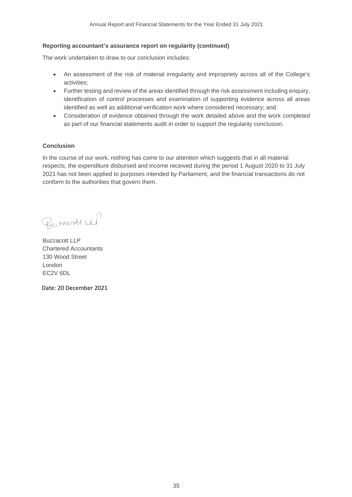#### **Reporting accountant's assurance report on regularity (continued)**

The work undertaken to draw to our conclusion includes:

- An assessment of the risk of material irregularity and impropriety across all of the College's activities;
- Further testing and review of the areas identified through the risk assessment including enquiry, identification of control processes and examination of supporting evidence across all areas identified as well as additional verification work where considered necessary; and
- Consideration of evidence obtained through the work detailed above and the work completed as part of our financial statements audit in order to support the regularity conclusion.

#### **Conclusion**

In the course of our work, nothing has come to our attention which suggests that in all material respects, the expenditure disbursed and income received during the period 1 August 2020 to 31 July 2021 has not been applied to purposes intended by Parliament, and the financial transactions do not conform to the authorities that govern them.

Burracott Wh!

Buzzacott LLP Chartered Accountants 130 Wood Street London EC2V 6DL

Date: 20 December 2021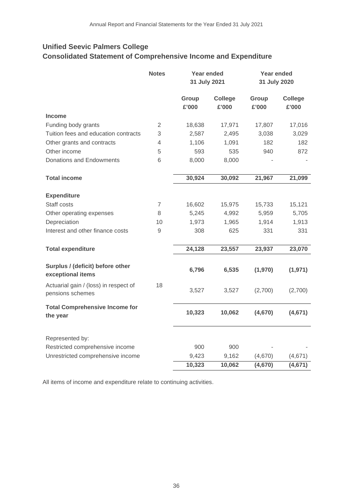# **Unified Seevic Palmers College Consolidated Statement of Comprehensive Income and Expenditure**

|                                                           | <b>Notes</b>   | Year ended<br>31 July 2021 |                         | <b>Year ended</b><br>31 July 2020 |                         |
|-----------------------------------------------------------|----------------|----------------------------|-------------------------|-----------------------------------|-------------------------|
|                                                           |                | Group<br>£'000             | <b>College</b><br>£'000 | Group<br>£'000                    | <b>College</b><br>£'000 |
| <b>Income</b>                                             |                |                            |                         |                                   |                         |
| Funding body grants                                       | $\overline{2}$ | 18,638                     | 17,971                  | 17,807                            | 17,016                  |
| Tuition fees and education contracts                      | 3              | 2,587                      | 2,495                   | 3,038                             | 3,029                   |
| Other grants and contracts                                | 4              | 1,106                      | 1,091                   | 182                               | 182                     |
| Other income                                              | 5              | 593                        | 535                     | 940                               | 872                     |
| Donations and Endowments                                  | 6              | 8,000                      | 8,000                   |                                   |                         |
| <b>Total income</b>                                       |                | 30,924                     | 30,092                  | 21,967                            | 21,099                  |
| <b>Expenditure</b>                                        |                |                            |                         |                                   |                         |
| Staff costs                                               | $\overline{7}$ | 16,602                     | 15,975                  | 15,733                            | 15,121                  |
| Other operating expenses                                  | 8              | 5,245                      | 4,992                   | 5,959                             | 5,705                   |
| Depreciation                                              | 10             | 1,973                      | 1,965                   | 1,914                             | 1,913                   |
| Interest and other finance costs                          | $\overline{9}$ | 308                        | 625                     | 331                               | 331                     |
|                                                           |                |                            |                         |                                   |                         |
| <b>Total expenditure</b>                                  |                | 24,128                     | 23,557                  | 23,937                            | 23,070                  |
| Surplus / (deficit) before other<br>exceptional items     |                | 6,796                      | 6,535                   | (1,970)                           | (1, 971)                |
| Actuarial gain / (loss) in respect of<br>pensions schemes | 18             | 3,527                      | 3,527                   | (2,700)                           | (2,700)                 |
| <b>Total Comprehensive Income for</b><br>the year         |                | 10,323                     | 10,062                  | (4,670)                           | (4,671)                 |
| Represented by:                                           |                |                            |                         |                                   |                         |
| Restricted comprehensive income                           |                | 900                        | 900                     |                                   |                         |
| Unrestricted comprehensive income                         |                | 9,423                      | 9,162                   | (4,670)                           | (4,671)                 |
|                                                           |                | 10,323                     | 10,062                  | (4,670)                           | (4,671)                 |

All items of income and expenditure relate to continuing activities.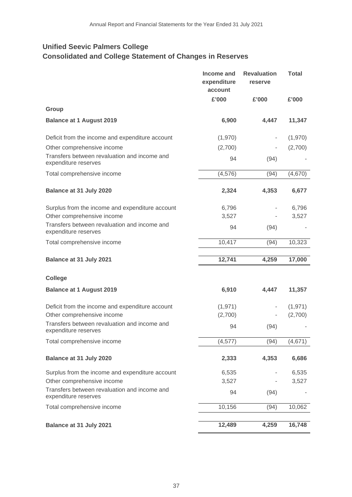# **Unified Seevic Palmers College Consolidated and College Statement of Changes in Reserves**

|                                                                      | Income and<br>expenditure<br>account | <b>Revaluation</b><br>reserve | <b>Total</b> |
|----------------------------------------------------------------------|--------------------------------------|-------------------------------|--------------|
|                                                                      | £'000                                | £'000                         | £'000        |
| Group                                                                |                                      |                               |              |
| <b>Balance at 1 August 2019</b>                                      | 6,900                                | 4,447                         | 11,347       |
| Deficit from the income and expenditure account                      | (1,970)                              |                               | (1,970)      |
| Other comprehensive income                                           | (2,700)                              |                               | (2,700)      |
| Transfers between revaluation and income and<br>expenditure reserves | 94                                   | (94)                          |              |
| Total comprehensive income                                           | (4, 576)                             | (94)                          | (4,670)      |
| Balance at 31 July 2020                                              | 2,324                                | 4,353                         | 6,677        |
| Surplus from the income and expenditure account                      | 6,796                                |                               | 6,796        |
| Other comprehensive income                                           | 3,527                                |                               | 3,527        |
| Transfers between revaluation and income and<br>expenditure reserves | 94                                   | (94)                          |              |
| Total comprehensive income                                           | 10,417                               | (94)                          | 10,323       |
| Balance at 31 July 2021                                              | 12,741                               | 4,259                         | 17,000       |
| <b>College</b>                                                       |                                      |                               |              |
| <b>Balance at 1 August 2019</b>                                      | 6,910                                | 4,447                         | 11,357       |
| Deficit from the income and expenditure account                      | (1, 971)                             |                               | (1, 971)     |
| Other comprehensive income                                           | (2,700)                              |                               | (2,700)      |
| Transfers between revaluation and income and<br>expenditure reserves | 94                                   | (94)                          |              |
| Total comprehensive income                                           | (4, 577)                             | (94)                          | (4,671)      |
| Balance at 31 July 2020                                              | 2,333                                | 4,353                         | 6,686        |
| Surplus from the income and expenditure account                      | 6,535                                |                               | 6,535        |
| Other comprehensive income                                           | 3,527                                |                               | 3,527        |
| Transfers between revaluation and income and<br>expenditure reserves | 94                                   | (94)                          |              |
| Total comprehensive income                                           | 10,156                               | (94)                          | 10,062       |
| Balance at 31 July 2021                                              | 12,489                               | 4,259                         | 16,748       |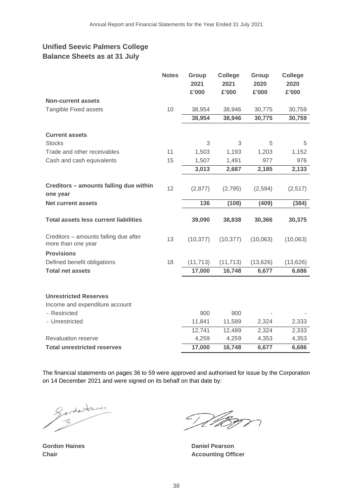# **Unified Seevic Palmers College Balance Sheets as at 31 July**

|                                                             | <b>Notes</b> | Group<br>2021<br>£'000 | <b>College</b><br>2021<br>£'000 | Group<br>2020<br>£'000 | <b>College</b><br>2020<br>£'000 |
|-------------------------------------------------------------|--------------|------------------------|---------------------------------|------------------------|---------------------------------|
| <b>Non-current assets</b>                                   |              |                        |                                 |                        |                                 |
| Tangible Fixed assets                                       | 10           | 38,954                 | 38,946                          | 30,775                 | 30,759                          |
|                                                             |              | 38,954                 | 38,946                          | 30,775                 | 30,759                          |
| <b>Current assets</b>                                       |              |                        |                                 |                        |                                 |
| <b>Stocks</b>                                               |              | 3                      | 3                               | 5                      | 5                               |
| Trade and other receivables                                 | 11           | 1,503                  | 1,193                           | 1,203                  | 1,152                           |
| Cash and cash equivalents                                   | 15           | 1,507                  | 1,491                           | 977                    | 976                             |
|                                                             |              | 3,013                  | 2,687                           | 2,185                  | 2,133                           |
|                                                             |              |                        |                                 |                        |                                 |
| Creditors - amounts falling due within<br>one year          | 12           | (2,877)                | (2,795)                         | (2,594)                | (2,517)                         |
| <b>Net current assets</b>                                   |              | 136                    | (108)                           | (409)                  | (384)                           |
|                                                             |              |                        |                                 |                        |                                 |
| <b>Total assets less current liabilities</b>                |              | 39,090                 | 38,838                          | 30,366                 | 30,375                          |
| Creditors - amounts falling due after<br>more than one year | 13           | (10, 377)              | (10, 377)                       | (10,063)               | (10,063)                        |
| <b>Provisions</b>                                           |              |                        |                                 |                        |                                 |
| Defined benefit obligations                                 | 18           | (11, 713)              | (11, 713)                       | (13, 626)              | (13,626)                        |
| <b>Total net assets</b>                                     |              | 17,000                 | 16,748                          | 6,677                  | 6,686                           |
|                                                             |              |                        |                                 |                        |                                 |
| <b>Unrestricted Reserves</b>                                |              |                        |                                 |                        |                                 |
| Income and expenditure account                              |              |                        |                                 |                        |                                 |
| - Restricted                                                |              | 900                    | 900                             |                        |                                 |
| - Unrestricted                                              |              | 11,841                 | 11,589                          | 2,324                  | 2,333                           |
|                                                             |              | 12,741                 | 12,489                          | 2,324                  | 2,333                           |
| <b>Revaluation reserve</b>                                  |              | 4,259                  | 4,259                           | 4,353                  | 4,353                           |
| <b>Total unrestricted reserves</b>                          |              | 17,000                 | 16,748                          | 6,677                  | 6,686                           |

The financial statements on pages 36 to 59 were approved and authorised for issue by the Corporation on 14 December 2021 and were signed on its behalf on that date by:

Gerdentaires

 $\mathcal{T}_\mathcal{L}$ VRAN

**Gordon Haines Daniel Pearson Chair Chair Accounting Officer**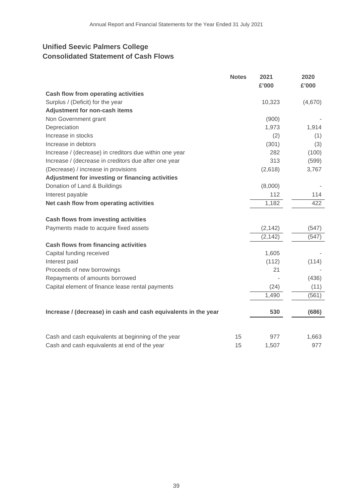# **Unified Seevic Palmers College Consolidated Statement of Cash Flows**

|                                                                | <b>Notes</b> | 2021<br>£'000 | 2020<br>£'000 |
|----------------------------------------------------------------|--------------|---------------|---------------|
| <b>Cash flow from operating activities</b>                     |              |               |               |
| Surplus / (Deficit) for the year                               |              | 10,323        | (4,670)       |
| Adjustment for non-cash items                                  |              |               |               |
| Non Government grant                                           |              | (900)         |               |
| Depreciation                                                   |              | 1,973         | 1,914         |
| Increase in stocks                                             |              | (2)           | (1)           |
| Increase in debtors                                            |              | (301)         | (3)           |
| Increase / (decrease) in creditors due within one year         |              | 282           | (100)         |
| Increase / (decrease in creditors due after one year           |              | 313           | (599)         |
| (Decrease) / increase in provisions                            |              | (2,618)       | 3,767         |
| Adjustment for investing or financing activities               |              |               |               |
| Donation of Land & Buildings                                   |              | (8,000)       |               |
| Interest payable                                               |              | 112           | 114           |
| Net cash flow from operating activities                        |              | 1,182         | 422           |
| <b>Cash flows from investing activities</b>                    |              |               |               |
| Payments made to acquire fixed assets                          |              | (2, 142)      | (547)         |
|                                                                |              | (2, 142)      | (547)         |
| <b>Cash flows from financing activities</b>                    |              |               |               |
| Capital funding received                                       |              | 1,605         |               |
| Interest paid                                                  |              | (112)         | (114)         |
| Proceeds of new borrowings                                     |              | 21            |               |
| Repayments of amounts borrowed                                 |              |               | (436)         |
| Capital element of finance lease rental payments               |              | (24)          | (11)          |
|                                                                |              | 1,490         | (561)         |
| Increase / (decrease) in cash and cash equivalents in the year |              | 530           | (686)         |
| Cash and cash equivalents at beginning of the year             | 15           | 977           | 1,663         |
| Cash and cash equivalents at end of the year                   | 15           | 1,507         | 977           |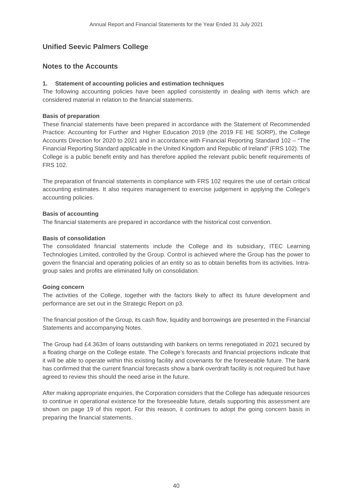# **Unified Seevic Palmers College**

# **Notes to the Accounts**

# **1. Statement of accounting policies and estimation techniques**

The following accounting policies have been applied consistently in dealing with items which are considered material in relation to the financial statements.

### **Basis of preparation**

These financial statements have been prepared in accordance with the Statement of Recommended Practice: Accounting for Further and Higher Education 2019 (the 2019 FE HE SORP), the College Accounts Direction for 2020 to 2021 and in accordance with Financial Reporting Standard 102 – "The Financial Reporting Standard applicable in the United Kingdom and Republic of Ireland" (FRS 102). The College is a public benefit entity and has therefore applied the relevant public benefit requirements of FRS 102.

The preparation of financial statements in compliance with FRS 102 requires the use of certain critical accounting estimates. It also requires management to exercise judgement in applying the College's accounting policies.

### **Basis of accounting**

The financial statements are prepared in accordance with the historical cost convention.

### **Basis of consolidation**

The consolidated financial statements include the College and its subsidiary, ITEC Learning Technologies Limited, controlled by the Group. Control is achieved where the Group has the power to govern the financial and operating policies of an entity so as to obtain benefits from its activities. Intragroup sales and profits are eliminated fully on consolidation.

#### **Going concern**

The activities of the College, together with the factors likely to affect its future development and performance are set out in the Strategic Report on p3.

The financial position of the Group, its cash flow, liquidity and borrowings are presented in the Financial Statements and accompanying Notes.

The Group had £4.363m of loans outstanding with bankers on terms renegotiated in 2021 secured by a floating charge on the College estate. The College's forecasts and financial projections indicate that it will be able to operate within this existing facility and covenants for the foreseeable future. The bank has confirmed that the current financial forecasts show a bank overdraft facility is not required but have agreed to review this should the need arise in the future.

After making appropriate enquiries, the Corporation considers that the College has adequate resources to continue in operational existence for the foreseeable future, details supporting this assessment are shown on page 19 of this report. For this reason, it continues to adopt the going concern basis in preparing the financial statements.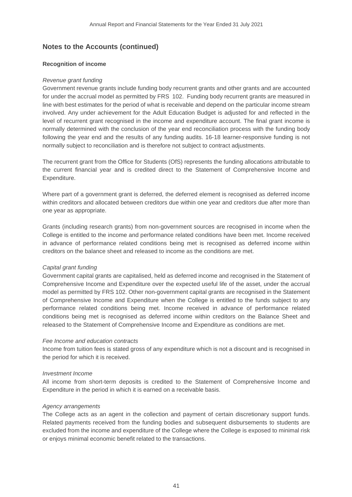#### **Recognition of income**

#### *Revenue grant funding*

Government revenue grants include funding body recurrent grants and other grants and are accounted for under the accrual model as permitted by FRS 102. Funding body recurrent grants are measured in line with best estimates for the period of what is receivable and depend on the particular income stream involved. Any under achievement for the Adult Education Budget is adjusted for and reflected in the level of recurrent grant recognised in the income and expenditure account. The final grant income is normally determined with the conclusion of the year end reconciliation process with the funding body following the year end and the results of any funding audits. 16-18 learner-responsive funding is not normally subject to reconciliation and is therefore not subject to contract adjustments.

The recurrent grant from the Office for Students (OfS) represents the funding allocations attributable to the current financial year and is credited direct to the Statement of Comprehensive Income and Expenditure.

Where part of a government grant is deferred, the deferred element is recognised as deferred income within creditors and allocated between creditors due within one year and creditors due after more than one year as appropriate.

Grants (including research grants) from non-government sources are recognised in income when the College is entitled to the income and performance related conditions have been met. Income received in advance of performance related conditions being met is recognised as deferred income within creditors on the balance sheet and released to income as the conditions are met.

#### *Capital grant funding*

Government capital grants are capitalised, held as deferred income and recognised in the Statement of Comprehensive Income and Expenditure over the expected useful life of the asset, under the accrual model as permitted by FRS 102. Other non-government capital grants are recognised in the Statement of Comprehensive Income and Expenditure when the College is entitled to the funds subject to any performance related conditions being met. Income received in advance of performance related conditions being met is recognised as deferred income within creditors on the Balance Sheet and released to the Statement of Comprehensive Income and Expenditure as conditions are met.

#### *Fee Income and education contracts*

Income from tuition fees is stated gross of any expenditure which is not a discount and is recognised in the period for which it is received.

#### *Investment Income*

All income from short-term deposits is credited to the Statement of Comprehensive Income and Expenditure in the period in which it is earned on a receivable basis.

#### *Agency arrangements*

The College acts as an agent in the collection and payment of certain discretionary support funds. Related payments received from the funding bodies and subsequent disbursements to students are excluded from the income and expenditure of the College where the College is exposed to minimal risk or enjoys minimal economic benefit related to the transactions.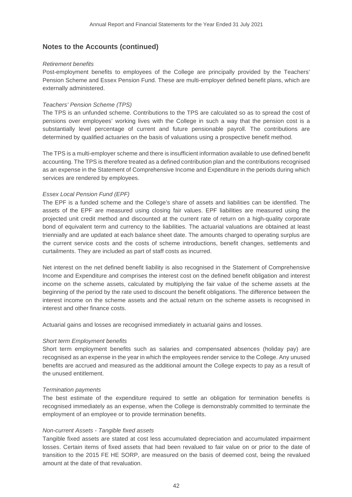#### *Retirement benefits*

Post-employment benefits to employees of the College are principally provided by the Teachers' Pension Scheme and Essex Pension Fund. These are multi-employer defined benefit plans, which are externally administered.

#### *Teachers' Pension Scheme (TPS)*

The TPS is an unfunded scheme. Contributions to the TPS are calculated so as to spread the cost of pensions over employees' working lives with the College in such a way that the pension cost is a substantially level percentage of current and future pensionable payroll. The contributions are determined by qualified actuaries on the basis of valuations using a prospective benefit method.

The TPS is a multi-employer scheme and there is insufficient information available to use defined benefit accounting. The TPS is therefore treated as a defined contribution plan and the contributions recognised as an expense in the Statement of Comprehensive Income and Expenditure in the periods during which services are rendered by employees.

#### *Essex Local Pension Fund (EPF)*

The EPF is a funded scheme and the College's share of assets and liabilities can be identified. The assets of the EPF are measured using closing fair values. EPF liabilities are measured using the projected unit credit method and discounted at the current rate of return on a high-quality corporate bond of equivalent term and currency to the liabilities. The actuarial valuations are obtained at least triennially and are updated at each balance sheet date. The amounts charged to operating surplus are the current service costs and the costs of scheme introductions, benefit changes, settlements and curtailments. They are included as part of staff costs as incurred.

Net interest on the net defined benefit liability is also recognised in the Statement of Comprehensive Income and Expenditure and comprises the interest cost on the defined benefit obligation and interest income on the scheme assets, calculated by multiplying the fair value of the scheme assets at the beginning of the period by the rate used to discount the benefit obligations. The difference between the interest income on the scheme assets and the actual return on the scheme assets is recognised in interest and other finance costs.

Actuarial gains and losses are recognised immediately in actuarial gains and losses.

#### *Short term Employment benefits*

Short term employment benefits such as salaries and compensated absences (holiday pay) are recognised as an expense in the year in which the employees render service to the College. Any unused benefits are accrued and measured as the additional amount the College expects to pay as a result of the unused entitlement.

#### *Termination payments*

The best estimate of the expenditure required to settle an obligation for termination benefits is recognised immediately as an expense, when the College is demonstrably committed to terminate the employment of an employee or to provide termination benefits.

#### *Non-current Assets - Tangible fixed assets*

Tangible fixed assets are stated at cost less accumulated depreciation and accumulated impairment losses. Certain items of fixed assets that had been revalued to fair value on or prior to the date of transition to the 2015 FE HE SORP, are measured on the basis of deemed cost, being the revalued amount at the date of that revaluation.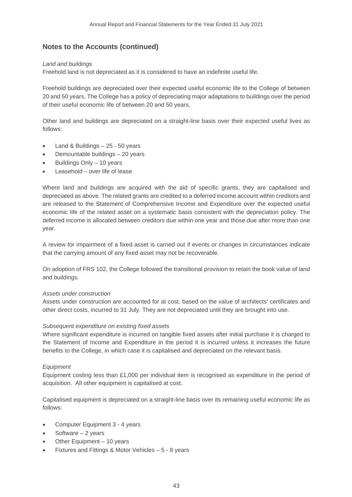### *Land and buildings*

Freehold land is not depreciated as it is considered to have an indefinite useful life.

Freehold buildings are depreciated over their expected useful economic life to the College of between 20 and 50 years. The College has a policy of depreciating major adaptations to buildings over the period of their useful economic life of between 20 and 50 years.

Other land and buildings are depreciated on a straight-line basis over their expected useful lives as follows:

- Land & Buildings  $-25 50$  years
- Demountable buildings 20 years
- Buildings Only 10 years
- Leasehold over life of lease

Where land and buildings are acquired with the aid of specific grants, they are capitalised and depreciated as above. The related grants are credited to a deferred income account within creditors and are released to the Statement of Comprehensive Income and Expenditure over the expected useful economic life of the related asset on a systematic basis consistent with the depreciation policy. The deferred income is allocated between creditors due within one year and those due after more than one year.

A review for impairment of a fixed asset is carried out if events or changes in circumstances indicate that the carrying amount of any fixed asset may not be recoverable.

On adoption of FRS 102, the College followed the transitional provision to retain the book value of land and buildings.

#### *Assets under construction*

Assets under construction are accounted for at cost, based on the value of architects' certificates and other direct costs, incurred to 31 July. They are not depreciated until they are brought into use.

#### *Subsequent expenditure on existing fixed assets*

Where significant expenditure is incurred on tangible fixed assets after initial purchase it is charged to the Statement of Income and Expenditure in the period it is incurred unless it increases the future benefits to the College, in which case it is capitalised and depreciated on the relevant basis.

#### *Equipment*

Equipment costing less than £1,000 per individual item is recognised as expenditure in the period of acquisition. All other equipment is capitalised at cost.

Capitalised equipment is depreciated on a straight-line basis over its remaining useful economic life as follows:

- Computer Equipment 3 4 years
- Software  $-2$  years
- Other Equipment 10 years
- Fixtures and Fittings & Motor Vehicles 5 8 years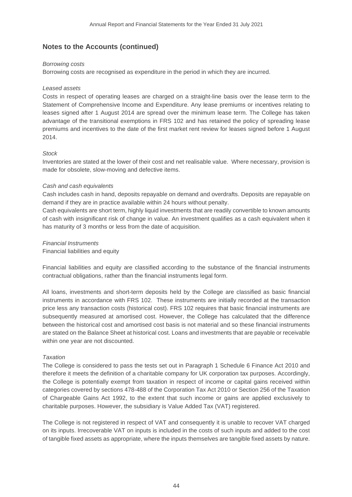#### *Borrowing costs*

Borrowing costs are recognised as expenditure in the period in which they are incurred.

### *Leased assets*

Costs in respect of operating leases are charged on a straight-line basis over the lease term to the Statement of Comprehensive Income and Expenditure. Any lease premiums or incentives relating to leases signed after 1 August 2014 are spread over the minimum lease term. The College has taken advantage of the transitional exemptions in FRS 102 and has retained the policy of spreading lease premiums and incentives to the date of the first market rent review for leases signed before 1 August 2014.

# *Stock*

Inventories are stated at the lower of their cost and net realisable value. Where necessary, provision is made for obsolete, slow-moving and defective items.

### *Cash and cash equivalents*

Cash includes cash in hand, deposits repayable on demand and overdrafts. Deposits are repayable on demand if they are in practice available within 24 hours without penalty.

Cash equivalents are short term, highly liquid investments that are readily convertible to known amounts of cash with insignificant risk of change in value. An investment qualifies as a cash equivalent when it has maturity of 3 months or less from the date of acquisition.

### *Financial Instruments*

Financial liabilities and equity

Financial liabilities and equity are classified according to the substance of the financial instruments contractual obligations, rather than the financial instruments legal form.

All loans, investments and short-term deposits held by the College are classified as basic financial instruments in accordance with FRS 102. These instruments are initially recorded at the transaction price less any transaction costs (historical cost). FRS 102 requires that basic financial instruments are subsequently measured at amortised cost. However, the College has calculated that the difference between the historical cost and amortised cost basis is not material and so these financial instruments are stated on the Balance Sheet at historical cost. Loans and investments that are payable or receivable within one year are not discounted.

# *Taxation*

The College is considered to pass the tests set out in Paragraph 1 Schedule 6 Finance Act 2010 and therefore it meets the definition of a charitable company for UK corporation tax purposes. Accordingly, the College is potentially exempt from taxation in respect of income or capital gains received within categories covered by sections 478-488 of the Corporation Tax Act 2010 or Section 256 of the Taxation of Chargeable Gains Act 1992, to the extent that such income or gains are applied exclusively to charitable purposes. However, the subsidiary is Value Added Tax (VAT) registered.

The College is not registered in respect of VAT and consequently it is unable to recover VAT charged on its inputs. Irrecoverable VAT on inputs is included in the costs of such inputs and added to the cost of tangible fixed assets as appropriate, where the inputs themselves are tangible fixed assets by nature.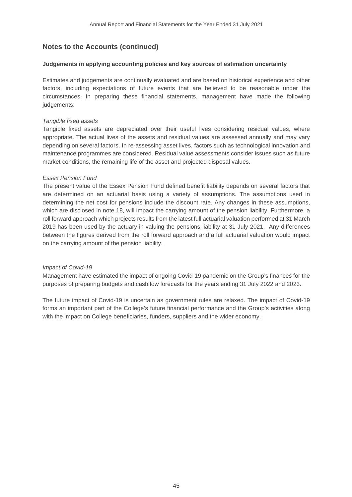#### **Judgements in applying accounting policies and key sources of estimation uncertainty**

Estimates and judgements are continually evaluated and are based on historical experience and other factors, including expectations of future events that are believed to be reasonable under the circumstances. In preparing these financial statements, management have made the following judgements:

#### *Tangible fixed assets*

Tangible fixed assets are depreciated over their useful lives considering residual values, where appropriate. The actual lives of the assets and residual values are assessed annually and may vary depending on several factors. In re-assessing asset lives, factors such as technological innovation and maintenance programmes are considered. Residual value assessments consider issues such as future market conditions, the remaining life of the asset and projected disposal values.

#### *Essex Pension Fund*

The present value of the Essex Pension Fund defined benefit liability depends on several factors that are determined on an actuarial basis using a variety of assumptions. The assumptions used in determining the net cost for pensions include the discount rate. Any changes in these assumptions, which are disclosed in note 18, will impact the carrying amount of the pension liability. Furthermore, a roll forward approach which projects results from the latest full actuarial valuation performed at 31 March 2019 has been used by the actuary in valuing the pensions liability at 31 July 2021. Any differences between the figures derived from the roll forward approach and a full actuarial valuation would impact on the carrying amount of the pension liability.

#### *Impact of Covid-19*

Management have estimated the impact of ongoing Covid-19 pandemic on the Group's finances for the purposes of preparing budgets and cashflow forecasts for the years ending 31 July 2022 and 2023.

The future impact of Covid-19 is uncertain as government rules are relaxed. The impact of Covid-19 forms an important part of the College's future financial performance and the Group's activities along with the impact on College beneficiaries, funders, suppliers and the wider economy.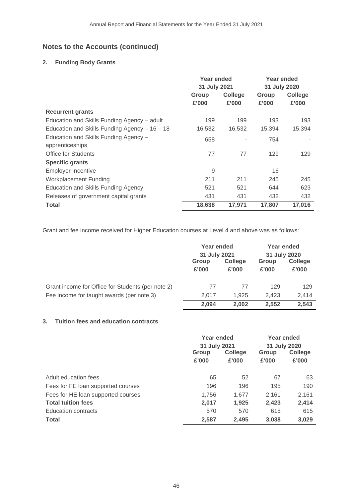# **2. Funding Body Grants**

|                                                | Year ended<br>31 July 2021 |                | <b>Year ended</b><br>31 July 2020 |                |
|------------------------------------------------|----------------------------|----------------|-----------------------------------|----------------|
|                                                | Group                      | <b>College</b> | Group                             | <b>College</b> |
|                                                | £'000                      | £'000          | £'000                             | £'000          |
| <b>Recurrent grants</b>                        |                            |                |                                   |                |
| Education and Skills Funding Agency - adult    | 199                        | 199            | 193                               | 193            |
| Education and Skills Funding Agency $-16 - 18$ | 16,532                     | 16,532         | 15,394                            | 15,394         |
| Education and Skills Funding Agency -          | 658                        |                | 754                               |                |
| apprenticeships                                |                            |                |                                   |                |
| Office for Students                            | 77                         | 77             | 129                               | 129            |
| <b>Specific grants</b>                         |                            |                |                                   |                |
| Employer Incentive                             | 9                          |                | 16                                |                |
| Workplacement Funding                          | 211                        | 211            | 245                               | 245            |
| <b>Education and Skills Funding Agency</b>     | 521                        | 521            | 644                               | 623            |
| Releases of government capital grants          | 431                        | 431            | 432                               | 432            |
| <b>Total</b>                                   | 18,638                     | 17,971         | 17,807                            | 17,016         |

Grant and fee income received for Higher Education courses at Level 4 and above was as follows:

|                                                   | Year ended<br>31 July 2021 |                         | Year ended<br>31 July 2020 |                  |
|---------------------------------------------------|----------------------------|-------------------------|----------------------------|------------------|
|                                                   | Group<br>£'000             | <b>College</b><br>£'000 | <b>Group</b><br>£'000      | College<br>£'000 |
| Grant income for Office for Students (per note 2) | 77                         | 77                      | 129                        | 129              |
| Fee income for taught awards (per note 3)         | 2.017                      | 1.925                   | 2.423                      | 2.414            |
|                                                   | 2.094                      | 2.002                   | 2,552                      | 2,543            |

# **3. Tuition fees and education contracts**

|                                    | Year ended<br>31 July 2021 |                         | Year ended<br>31 July 2020 |                  |
|------------------------------------|----------------------------|-------------------------|----------------------------|------------------|
|                                    | Group<br>£'000             | <b>College</b><br>£'000 | Group<br>£'000             | College<br>£'000 |
| Adult education fees               | 65                         | 52                      | 67                         | 63               |
| Fees for FE loan supported courses | 196                        | 196                     | 195                        | 190              |
| Fees for HE loan supported courses | 1,756                      | 1.677                   | 2,161                      | 2,161            |
| <b>Total tuition fees</b>          | 2,017                      | 1,925                   | 2,423                      | 2,414            |
| <b>Education contracts</b>         | 570                        | 570                     | 615                        | 615              |
| <b>Total</b>                       | 2,587                      | 2,495                   | 3,038                      | 3,029            |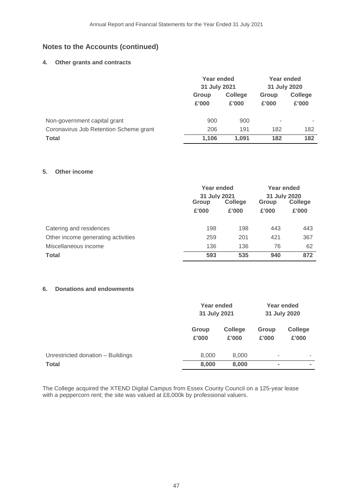# **4. Other grants and contracts**

|                                        | Year ended<br>31 July 2021 |                         | Year ended<br>31 July 2020 |                         |
|----------------------------------------|----------------------------|-------------------------|----------------------------|-------------------------|
|                                        | Group<br>£'000             | <b>College</b><br>£'000 | Group<br>£'000             | <b>College</b><br>£'000 |
| Non-government capital grant           | 900                        | 900                     | ٠                          | ۰                       |
| Coronavirus Job Retention Scheme grant | 206                        | 191                     | 182                        | 182                     |
| <b>Total</b>                           | 1,106                      | 1.091                   | 182                        | 182                     |

#### **5. Other income**

|                                    | Year ended<br>31 July 2021 |       | Year ended<br>31 July 2020 |       |         |
|------------------------------------|----------------------------|-------|----------------------------|-------|---------|
|                                    | College<br>Group           |       | Group                      |       | College |
|                                    | £'000                      | £'000 | £'000                      | £'000 |         |
|                                    |                            |       |                            |       |         |
| Catering and residences            | 198                        | 198   | 443                        | 443   |         |
| Other income generating activities | 259                        | 201   | 421                        | 367   |         |
| Miscellaneous income               | 136                        | 136   | 76                         | 62    |         |
| <b>Total</b>                       | 593                        | 535   | 940                        | 872   |         |

# **6. Donations and endowments**

|                                   | Year ended<br>31 July 2021 |                         | Year ended<br>31 July 2020 |                         |
|-----------------------------------|----------------------------|-------------------------|----------------------------|-------------------------|
|                                   | Group<br>£'000             | <b>College</b><br>£'000 | Group<br>£'000             | <b>College</b><br>£'000 |
| Unrestricted donation - Buildings | 8,000                      | 8,000                   | ٠                          | ۰                       |
| <b>Total</b>                      | 8,000                      | 8,000                   | $\overline{\phantom{a}}$   | $\blacksquare$          |

The College acquired the XTEND Digital Campus from Essex County Council on a 125-year lease with a peppercorn rent; the site was valued at £8,000k by professional valuers.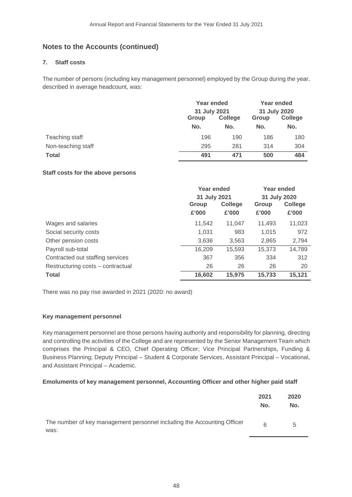# **7. Staff costs**

The number of persons (including key management personnel) employed by the Group during the year, described in average headcount, was:

|                    | Year ended<br>31 July 2021 |                | Year ended<br>31 July 2020 |                |
|--------------------|----------------------------|----------------|----------------------------|----------------|
|                    |                            |                |                            |                |
|                    | Group                      | <b>College</b> | Group                      | <b>College</b> |
|                    | No.                        | No.            | No.                        | No.            |
| Teaching staff     | 196                        | 190            | 186                        | 180            |
| Non-teaching staff | 295                        | 281            | 314                        | 304            |
| <b>Total</b>       | 491                        | 471            | 500                        | 484            |

### **Staff costs for the above persons**

|                                   | Year ended<br>31 July 2021 |                         | Year ended<br>31 July 2020 |                         |
|-----------------------------------|----------------------------|-------------------------|----------------------------|-------------------------|
|                                   | Group<br>£'000             | <b>College</b><br>£'000 | Group<br>£'000             | <b>College</b><br>£'000 |
| Wages and salaries                | 11,542                     | 11.047                  | 11,493                     | 11,023                  |
| Social security costs             | 1,031                      | 983                     | 1,015                      | 972                     |
| Other pension costs               | 3,636                      | 3,563                   | 2,865                      | 2,794                   |
| Payroll sub-total                 | 16,209                     | 15,593                  | 15,373                     | 14,789                  |
| Contracted out staffing services  | 367                        | 356                     | 334                        | 312                     |
| Restructuring costs - contractual | 26                         | 26                      | 26                         | 20                      |
| <b>Total</b>                      | 16,602                     | 15,975                  | 15,733                     | 15,121                  |

There was no pay rise awarded in 2021 (2020: no award)

# **Key management personnel**

Key management personnel are those persons having authority and responsibility for planning, directing and controlling the activities of the College and are represented by the Senior Management Team which comprises the Principal & CEO, Chief Operating Officer; Vice Principal Partnerships, Funding & Business Planning; Deputy Principal – Student & Corporate Services, Assistant Principal – Vocational, and Assistant Principal – Academic.

#### **Emoluments of key management personnel, Accounting Officer and other higher paid staff**

|                                                                                 | 2021<br>No. | 2020<br>No. |
|---------------------------------------------------------------------------------|-------------|-------------|
| The number of key management personnel including the Accounting Officer<br>was: | 6           | 5           |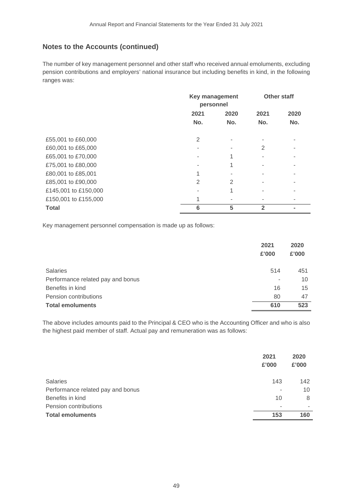The number of key management personnel and other staff who received annual emoluments, excluding pension contributions and employers' national insurance but including benefits in kind, in the following ranges was:

|                      | <b>Key management</b><br>personnel |      | <b>Other staff</b> |      |
|----------------------|------------------------------------|------|--------------------|------|
|                      | 2021                               | 2020 | 2021               | 2020 |
|                      | No.                                | No.  | No.                | No.  |
| £55,001 to £60,000   | 2                                  |      |                    |      |
| £60,001 to £65,000   |                                    |      | 2                  |      |
| £65,001 to £70,000   |                                    |      |                    |      |
| £75,001 to £80,000   |                                    |      |                    |      |
| £80,001 to £85,001   |                                    |      |                    |      |
| £85,001 to £90,000   | 2                                  | 2    |                    |      |
| £145,001 to £150,000 |                                    | 4    |                    |      |
| £150,001 to £155,000 |                                    |      |                    |      |
| <b>Total</b>         | 6                                  | 5    | 2                  |      |

Key management personnel compensation is made up as follows:

|                                   | 2021<br>£'000 | 2020<br>£'000 |
|-----------------------------------|---------------|---------------|
| <b>Salaries</b>                   | 514           | 451           |
| Performance related pay and bonus | ۰             | 10            |
| Benefits in kind                  | 16            | 15            |
| Pension contributions             | 80            | 47            |
| <b>Total emoluments</b>           | 610           | 523           |

The above includes amounts paid to the Principal & CEO who is the Accounting Officer and who is also the highest paid member of staff. Actual pay and remuneration was as follows:

|                                   | 2021<br>£'000 | 2020<br>£'000 |
|-----------------------------------|---------------|---------------|
| <b>Salaries</b>                   | 143           | 142           |
| Performance related pay and bonus | ۰             | 10            |
| Benefits in kind                  | 10            | 8             |
| Pension contributions             | -             |               |
| <b>Total emoluments</b>           | 153           | 160           |
|                                   |               |               |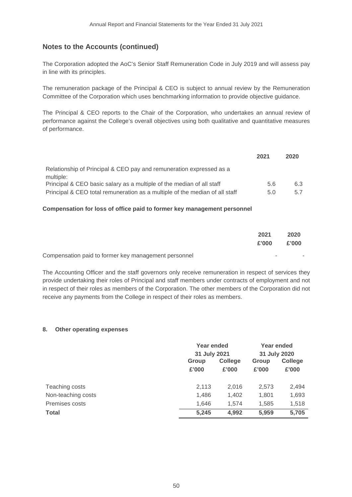The Corporation adopted the AoC's Senior Staff Remuneration Code in July 2019 and will assess pay in line with its principles.

The remuneration package of the Principal & CEO is subject to annual review by the Remuneration Committee of the Corporation which uses benchmarking information to provide objective guidance.

The Principal & CEO reports to the Chair of the Corporation, who undertakes an annual review of performance against the College's overall objectives using both qualitative and quantitative measures of performance.

|                                                                                  | 2021 | 2020 |
|----------------------------------------------------------------------------------|------|------|
| Relationship of Principal & CEO pay and remuneration expressed as a<br>multiple: |      |      |
| Principal & CEO basic salary as a multiple of the median of all staff            | 5.6  | 6.3  |
| Principal & CEO total remuneration as a multiple of the median of all staff      | 5.0  | 5.7  |

# **Compensation for loss of office paid to former key management personnel**

|                                                      | 2021<br>£'000 | 2020<br>£'000 |
|------------------------------------------------------|---------------|---------------|
| Compensation paid to former key management personnel |               |               |

The Accounting Officer and the staff governors only receive remuneration in respect of services they provide undertaking their roles of Principal and staff members under contracts of employment and not in respect of their roles as members of the Corporation. The other members of the Corporation did not receive any payments from the College in respect of their roles as members.

#### **8. Other operating expenses**

|                    |       | Year ended<br>31 July 2021 |       | Year ended     |
|--------------------|-------|----------------------------|-------|----------------|
|                    |       |                            |       | 31 July 2020   |
|                    | Group | <b>College</b>             |       | <b>College</b> |
|                    | £'000 | £'000                      | £'000 | £'000          |
| Teaching costs     | 2,113 | 2,016                      | 2,573 | 2,494          |
| Non-teaching costs | 1,486 | 1,402                      | 1,801 | 1,693          |
| Premises costs     | 1,646 | 1.574                      | 1,585 | 1,518          |
| <b>Total</b>       | 5,245 | 4,992                      | 5,959 | 5,705          |
|                    |       |                            |       |                |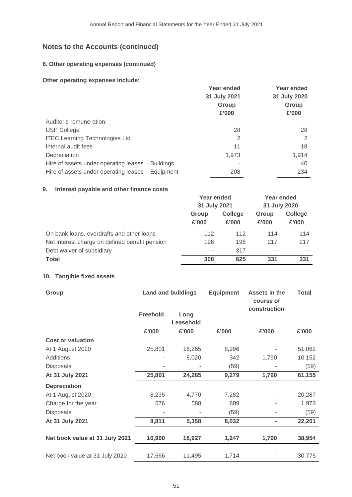# **8. Other operating expenses (continued)**

### **Other operating expenses include:**

|                                                   | Year ended   | Year ended   |
|---------------------------------------------------|--------------|--------------|
|                                                   | 31 July 2021 | 31 July 2020 |
|                                                   | Group        | Group        |
|                                                   | £'000        | £'000        |
| Auditor's remuneration:                           |              |              |
| <b>USP College</b>                                | 28           | 28           |
| <b>ITEC Learning Technologies Ltd</b>             | 2            | 2            |
| Internal audit fees                               | 11           | 18           |
| Depreciation                                      | 1.973        | 1,914        |
| Hire of assets under operating leases - Buildings |              | 40           |
| Hire of assets under operating leases - Equipment | 208          | 234          |

### **9. Interest payable and other finance costs**

|                                                | Year ended<br>31 July 2021 |       | Year ended<br>31 July 2020 |       |       |                |
|------------------------------------------------|----------------------------|-------|----------------------------|-------|-------|----------------|
|                                                |                            |       |                            |       |       |                |
|                                                | <b>College</b><br>Group    |       |                            |       | Group | <b>College</b> |
|                                                | £'000                      | £'000 | £'000                      | £'000 |       |                |
| On bank loans, overdrafts and other loans      | 112                        | 112   | 114                        | 114   |       |                |
| Net interest charge on defined benefit pension | 196                        | 196   | 217                        | 217   |       |                |
| Debt waiver of subsidiary                      | ۰                          | 317   | $\,$                       |       |       |                |
| <b>Total</b>                                   | 308                        | 625   | 331                        | 331   |       |                |

# **10. Tangible fixed assets**

| Group                          |                 | <b>Land and buildings</b> | <b>Equipment</b> | Assets in the<br>course of   | <b>Total</b> |
|--------------------------------|-----------------|---------------------------|------------------|------------------------------|--------------|
|                                | <b>Freehold</b> | Long<br>Leasehold         |                  | construction                 |              |
|                                | £'000           | £'000                     | £'000            | £'000                        | £'000        |
| <b>Cost or valuation</b>       |                 |                           |                  |                              |              |
| At 1 August 2020               | 25,801          | 16,265                    | 8,996            |                              | 51,062       |
| Additions                      |                 | 8,020                     | 342              | 1,790                        | 10,152       |
| Disposals                      |                 |                           | (59)             |                              | (59)         |
| At 31 July 2021                | 25,801          | 24,285                    | 9,279            | 1,790                        | 61,155       |
| <b>Depreciation</b>            |                 |                           |                  |                              |              |
| At 1 August 2020               | 8,235           | 4,770                     | 7,282            |                              | 20,287       |
| Charge for the year            | 576             | 588                       | 809              |                              | 1,973        |
| <b>Disposals</b>               |                 |                           | (59)             |                              | (59)         |
| At 31 July 2021                | 8,811           | 5,358                     | 8,032            | $\qquad \qquad \blacksquare$ | 22,201       |
| Net book value at 31 July 2021 | 16,990          | 18,927                    | 1,247            | 1,790                        | 38,954       |
| Net book value at 31 July 2020 | 17,566          | 11,495                    | 1,714            |                              | 30,775       |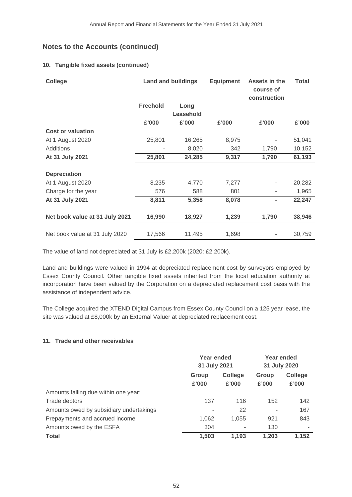# **10. Tangible fixed assets (continued)**

| <b>College</b>                 |                 | <b>Land and buildings</b> | <b>Equipment</b> | Assets in the<br>course of<br>construction | <b>Total</b> |
|--------------------------------|-----------------|---------------------------|------------------|--------------------------------------------|--------------|
|                                | <b>Freehold</b> | Long<br>Leasehold         |                  |                                            |              |
|                                | £'000           | £'000                     | £'000            | £'000                                      | £'000        |
| <b>Cost or valuation</b>       |                 |                           |                  |                                            |              |
| At 1 August 2020               | 25,801          | 16,265                    | 8,975            |                                            | 51,041       |
| Additions                      |                 | 8,020                     | 342              | 1,790                                      | 10,152       |
| At 31 July 2021                | 25,801          | 24,285                    | 9,317            | 1,790                                      | 61,193       |
|                                |                 |                           |                  |                                            |              |
| <b>Depreciation</b>            |                 |                           |                  |                                            |              |
| At 1 August 2020               | 8,235           | 4,770                     | 7,277            |                                            | 20,282       |
| Charge for the year            | 576             | 588                       | 801              |                                            | 1,965        |
| At 31 July 2021                | 8,811           | 5,358                     | 8,078            | ۰                                          | 22,247       |
|                                |                 |                           |                  |                                            |              |
| Net book value at 31 July 2021 | 16,990          | 18,927                    | 1,239            | 1,790                                      | 38,946       |
|                                |                 |                           |                  |                                            |              |
| Net book value at 31 July 2020 | 17,566          | 11,495                    | 1,698            |                                            | 30,759       |

The value of land not depreciated at 31 July is £2,200k (2020: £2,200k).

Land and buildings were valued in 1994 at depreciated replacement cost by surveyors employed by Essex County Council. Other tangible fixed assets inherited from the local education authority at incorporation have been valued by the Corporation on a depreciated replacement cost basis with the assistance of independent advice.

The College acquired the XTEND Digital Campus from Essex County Council on a 125 year lease, the site was valued at £8,000k by an External Valuer at depreciated replacement cost.

# **11. Trade and other receivables**

|                                         | Year ended<br>31 July 2021 |                  | Year ended<br>31 July 2020 |                  |
|-----------------------------------------|----------------------------|------------------|----------------------------|------------------|
|                                         | Group<br>£'000             | College<br>£'000 | Group<br>£'000             | College<br>£'000 |
| Amounts falling due within one year:    |                            |                  |                            |                  |
| Trade debtors                           | 137                        | 116              | 152                        | 142              |
| Amounts owed by subsidiary undertakings | ۰                          | 22               |                            | 167              |
| Prepayments and accrued income          | 1,062                      | 1,055            | 921                        | 843              |
| Amounts owed by the ESFA                | 304                        |                  | 130                        |                  |
| <b>Total</b>                            | 1,503                      | 1,193            | 1.203                      | 1,152            |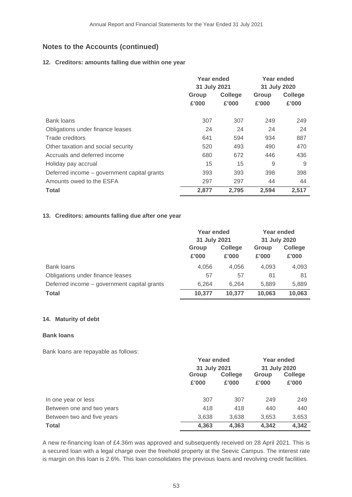### **12. Creditors: amounts falling due within one year**

|                                             | Year ended<br>31 July 2021 |       | Year ended<br>31 July 2020 |         |
|---------------------------------------------|----------------------------|-------|----------------------------|---------|
|                                             | College<br>Group           |       | Group                      | College |
|                                             | £'000                      | £'000 | £'000                      | £'000   |
| Bank loans                                  | 307                        | 307   | 249                        | 249     |
| Obligations under finance leases            | 24                         | 24    | 24                         | 24      |
| Trade creditors                             | 641                        | 594   | 934                        | 887     |
| Other taxation and social security          | 520                        | 493   | 490                        | 470     |
| Accruals and deferred income                | 680                        | 672   | 446                        | 436     |
| Holiday pay accrual                         | 15                         | 15    | 9                          | 9       |
| Deferred income - government capital grants | 393                        | 393   | 398                        | 398     |
| Amounts owed to the ESFA                    | 297                        | 297   | 44                         | 44      |
| <b>Total</b>                                | 2.877                      | 2,795 | 2,594                      | 2,517   |

# **13. Creditors: amounts falling due after one year**

|                                             | Year ended<br>31 July 2021 |                         | Year ended<br>31 July 2020 |                         |
|---------------------------------------------|----------------------------|-------------------------|----------------------------|-------------------------|
|                                             | Group<br>£'000             | <b>College</b><br>£'000 | Group<br>£'000             | <b>College</b><br>£'000 |
| <b>Bank loans</b>                           | 4,056                      | 4.056                   | 4,093                      | 4,093                   |
| Obligations under finance leases            | 57                         | 57                      | 81                         | 81                      |
| Deferred income – government capital grants | 6.264                      | 6.264                   | 5.889                      | 5,889                   |
| <b>Total</b>                                | 10,377                     | 10.377                  | 10,063                     | 10,063                  |

#### **14. Maturity of debt**

#### **Bank loans**

Bank loans are repayable as follows:

|                            |                         | Year ended |              | Year ended     |
|----------------------------|-------------------------|------------|--------------|----------------|
|                            | 31 July 2021            |            | 31 July 2020 |                |
|                            | <b>College</b><br>Group |            | Group        | <b>College</b> |
|                            | £'000                   | £'000      | £'000        | £'000          |
| In one year or less        | 307                     | 307        | 249          | 249            |
| Between one and two years  | 418                     | 418        | 440          | 440            |
| Between two and five years | 3,638                   | 3,638      | 3,653        | 3,653          |
| <b>Total</b>               | 4,363                   | 4,363      | 4,342        | 4,342          |

A new re-financing loan of £4.36m was approved and subsequently received on 28 April 2021. This is a secured loan with a legal charge over the freehold property at the Seevic Campus. The interest rate is margin on this loan is 2.6%. This loan consolidates the previous loans and revolving credit facilities.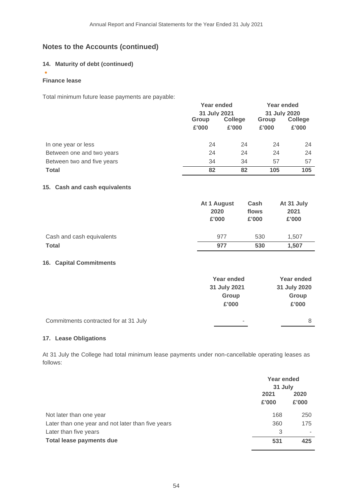# **14. Maturity of debt (continued)**

# **Finance lease**

•

Total minimum future lease payments are payable:

|                            |       | Year ended<br>31 July 2021 |       | <b>Year ended</b> |         |
|----------------------------|-------|----------------------------|-------|-------------------|---------|
|                            |       |                            |       | 31 July 2020      |         |
|                            |       | <b>College</b><br>Group    |       | Group             | College |
|                            | £'000 | £'000                      | £'000 | £'000             |         |
|                            |       |                            |       |                   |         |
| In one year or less        | 24    | 24                         | 24    | 24                |         |
| Between one and two years  | 24    | 24                         | 24    | 24                |         |
| Between two and five years | 34    | 34                         | 57    | 57                |         |
| <b>Total</b>               | 82    | 82                         | 105   | 105               |         |
|                            |       |                            |       |                   |         |

### **15. Cash and cash equivalents**

|                           | At 1 August<br>2020<br>£'000 | Cash<br>flows<br>£'000 | At 31 July<br>2021<br>£'000 |
|---------------------------|------------------------------|------------------------|-----------------------------|
| Cash and cash equivalents | 977                          | 530                    | 1.507                       |
| <b>Total</b>              | 977                          | 530                    | 1,507                       |

# **16. Capital Commitments**

|                                       | Year ended<br>31 July 2021 | Year ended<br>31 July 2020 |
|---------------------------------------|----------------------------|----------------------------|
|                                       | Group<br>£'000             | Group<br>£'000             |
| Commitments contracted for at 31 July | ۰                          | 8                          |

#### **17. Lease Obligations**

At 31 July the College had total minimum lease payments under non-cancellable operating leases as follows:

|                                                   | Year ended<br>31 July |               |
|---------------------------------------------------|-----------------------|---------------|
|                                                   | 2021<br>£'000         | 2020<br>£'000 |
| Not later than one year                           | 168                   | 250           |
| Later than one year and not later than five years | 360                   | 175           |
| Later than five years                             | 3                     | ٠             |
| Total lease payments due                          | 531                   | 425           |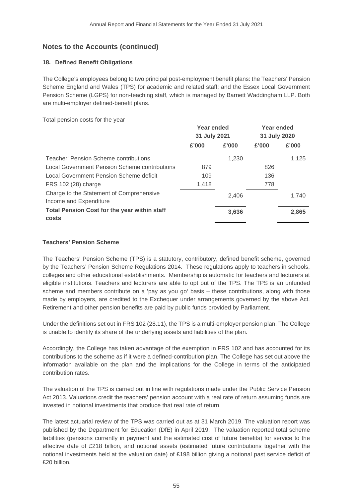# **18. Defined Benefit Obligations**

The College's employees belong to two principal post-employment benefit plans: the Teachers' Pension Scheme England and Wales (TPS) for academic and related staff; and the Essex Local Government Pension Scheme (LGPS) for non-teaching staff, which is managed by Barnett Waddingham LLP. Both are multi-employer defined-benefit plans.

Total pension costs for the year

|                                                                    | Year ended<br>31 July 2021 |       | Year ended<br>31 July 2020 |       |
|--------------------------------------------------------------------|----------------------------|-------|----------------------------|-------|
|                                                                    | £'000                      | £'000 | £'000                      | £'000 |
| Teacher' Pension Scheme contributions                              |                            | 1,230 |                            | 1,125 |
| Local Government Pension Scheme contributions                      | 879                        |       | 826                        |       |
| Local Government Pension Scheme deficit                            | 109                        |       | 136                        |       |
| FRS 102 (28) charge                                                | 1,418                      |       | 778                        |       |
| Charge to the Statement of Comprehensive<br>Income and Expenditure |                            | 2,406 |                            | 1.740 |
| <b>Total Pension Cost for the year within staff</b><br>costs       |                            | 3,636 |                            | 2,865 |

# **Teachers' Pension Scheme**

The Teachers' Pension Scheme (TPS) is a statutory, contributory, defined benefit scheme, governed by the Teachers' Pension Scheme Regulations 2014. These regulations apply to teachers in schools, colleges and other educational establishments. Membership is automatic for teachers and lecturers at eligible institutions. Teachers and lecturers are able to opt out of the TPS. The TPS is an unfunded scheme and members contribute on a 'pay as you go' basis – these contributions, along with those made by employers, are credited to the Exchequer under arrangements governed by the above Act. Retirement and other pension benefits are paid by public funds provided by Parliament.

Under the definitions set out in FRS 102 (28.11), the TPS is a multi-employer pension plan. The College is unable to identify its share of the underlying assets and liabilities of the plan.

Accordingly, the College has taken advantage of the exemption in FRS 102 and has accounted for its contributions to the scheme as if it were a defined-contribution plan. The College has set out above the information available on the plan and the implications for the College in terms of the anticipated contribution rates.

The valuation of the TPS is carried out in line with regulations made under the Public Service Pension Act 2013. Valuations credit the teachers' pension account with a real rate of return assuming funds are invested in notional investments that produce that real rate of return.

The latest actuarial review of the TPS was carried out as at 31 March 2019. The valuation report was published by the Department for Education (DfE) in April 2019. The valuation reported total scheme liabilities (pensions currently in payment and the estimated cost of future benefits) for service to the effective date of £218 billion, and notional assets (estimated future contributions together with the notional investments held at the valuation date) of £198 billion giving a notional past service deficit of £20 billion.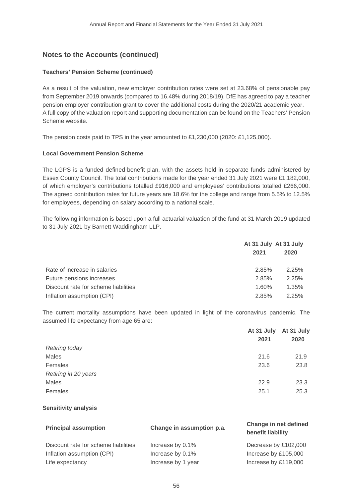# **Teachers' Pension Scheme (continued)**

As a result of the valuation, new employer contribution rates were set at 23.68% of pensionable pay from September 2019 onwards (compared to 16.48% during 2018/19). DfE has agreed to pay a teacher pension employer contribution grant to cover the additional costs during the 2020/21 academic year. A full copy of the valuation report and supporting documentation can be found on the Teachers' Pension Scheme website.

The pension costs paid to TPS in the year amounted to £1,230,000 (2020: £1,125,000).

# **Local Government Pension Scheme**

The LGPS is a funded defined-benefit plan, with the assets held in separate funds administered by Essex County Council. The total contributions made for the year ended 31 July 2021 were £1,182,000, of which employer's contributions totalled £916,000 and employees' contributions totalled £266,000. The agreed contribution rates for future years are 18.6% for the college and range from 5.5% to 12.5% for employees, depending on salary according to a national scale.

The following information is based upon a full actuarial valuation of the fund at 31 March 2019 updated to 31 July 2021 by Barnett Waddingham LLP.

|                                      | At 31 July At 31 July<br>2021 | 2020  |
|--------------------------------------|-------------------------------|-------|
| Rate of increase in salaries         | 2.85%                         | 2.25% |
| Future pensions increases            | 2.85%                         | 2.25% |
| Discount rate for scheme liabilities | 1.60%                         | 1.35% |
| Inflation assumption (CPI)           | 2.85%                         | 2.25% |

The current mortality assumptions have been updated in light of the coronavirus pandemic. The assumed life expectancy from age 65 are:

|                       | At 31 July At 31 July |      |
|-----------------------|-----------------------|------|
|                       | 2021                  | 2020 |
| <b>Retiring today</b> |                       |      |
| Males                 | 21.6                  | 21.9 |
| Females               | 23.6                  | 23.8 |
| Retiring in 20 years  |                       |      |
| Males                 | 22.9                  | 23.3 |
| Females               | 25.1                  | 25.3 |

# **Sensitivity analysis**

| <b>Principal assumption</b>          | Change in assumption p.a. | Change in net defined<br>benefit liability |
|--------------------------------------|---------------------------|--------------------------------------------|
| Discount rate for scheme liabilities | Increase by 0.1%          | Decrease by £102,000                       |
| Inflation assumption (CPI)           | Increase by 0.1%          | Increase by £105,000                       |
| Life expectancy                      | Increase by 1 year        | Increase by £119,000                       |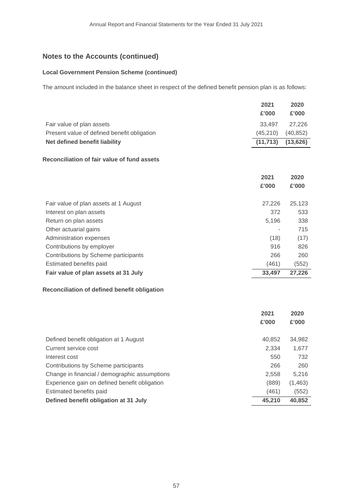#### **Local Government Pension Scheme (continued)**

The amount included in the balance sheet in respect of the defined benefit pension plan is as follows:

|                                             | 2021      | 2020      |
|---------------------------------------------|-----------|-----------|
|                                             | £'000     | £'000     |
| Fair value of plan assets                   | 33,497    | 27,226    |
| Present value of defined benefit obligation | (45, 210) | (40, 852) |
| Net defined benefit liability               | (11, 713) | (13, 626) |
| Reconciliation of fair value of fund assets |           |           |
|                                             | 2021      | 2020      |
|                                             | £'000     | £'000     |
| Fair value of plan assets at 1 August       | 27,226    | 25,123    |
| Interest on plan assets                     | 372       | 533       |
| Return on plan assets                       | 5,196     | 338       |
| Other actuarial gains                       |           | 715       |
| Administration expenses                     | (18)      | (17)      |
| Contributions by employer                   | 916       | 826       |
| Contributions by Scheme participants        | 266       | 260       |
| Estimated benefits paid                     | (461)     | (552)     |
| Fair value of plan assets at 31 July        | 33,497    | 27,226    |

# **Reconciliation of defined benefit obligation**

|                                               | 2021<br>£'000 | 2020<br>£'000 |
|-----------------------------------------------|---------------|---------------|
| Defined benefit obligation at 1 August        | 40.852        | 34,982        |
| Current service cost                          | 2.334         | 1,677         |
| Interest cost                                 | 550           | 732           |
| Contributions by Scheme participants          | 266           | 260           |
| Change in financial / demographic assumptions | 2,558         | 5,216         |
| Experience gain on defined benefit obligation | (889)         | (1,463)       |
| Estimated benefits paid                       | (461)         | (552)         |
| Defined benefit obligation at 31 July         | 45.210        | 40,852        |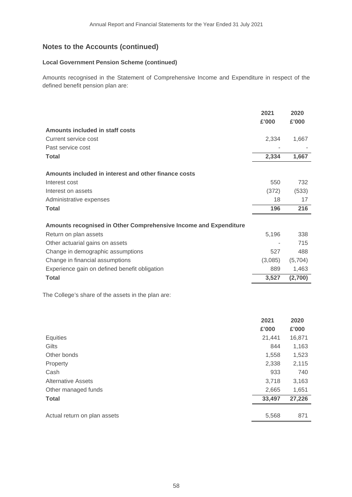# **Local Government Pension Scheme (continued)**

Amounts recognised in the Statement of Comprehensive Income and Expenditure in respect of the defined benefit pension plan are:

|                                                                  | 2021<br>£'000 | 2020<br>£'000 |
|------------------------------------------------------------------|---------------|---------------|
| Amounts included in staff costs                                  |               |               |
| Current service cost                                             | 2,334         | 1,667         |
| Past service cost                                                |               |               |
| Total                                                            | 2,334         | 1,667         |
| Amounts included in interest and other finance costs             |               |               |
| Interest cost                                                    | 550           | 732           |
| Interest on assets                                               | (372)         | (533)         |
| Administrative expenses                                          | 18            | 17            |
| Total                                                            | 196           | 216           |
| Amounts recognised in Other Comprehensive Income and Expenditure |               |               |
| Return on plan assets                                            | 5,196         | 338           |
| Other actuarial gains on assets                                  |               | 715           |
| Change in demographic assumptions                                | 527           | 488           |
| Change in financial assumptions                                  | (3,085)       | (5,704)       |
| Experience gain on defined benefit obligation                    | 889           | 1,463         |
| <b>Total</b>                                                     | 3,527         | (2,700)       |
|                                                                  |               |               |

The College's share of the assets in the plan are:

|                              | 2021   | 2020   |
|------------------------------|--------|--------|
|                              | £'000  | £'000  |
| Equities                     | 21,441 | 16,871 |
| Gilts                        | 844    | 1,163  |
| Other bonds                  | 1,558  | 1,523  |
| Property                     | 2,338  | 2,115  |
| Cash                         | 933    | 740    |
| <b>Alternative Assets</b>    | 3,718  | 3,163  |
| Other managed funds          | 2,665  | 1,651  |
| <b>Total</b>                 | 33,497 | 27,226 |
|                              |        |        |
| Actual return on plan assets | 5,568  | 871    |